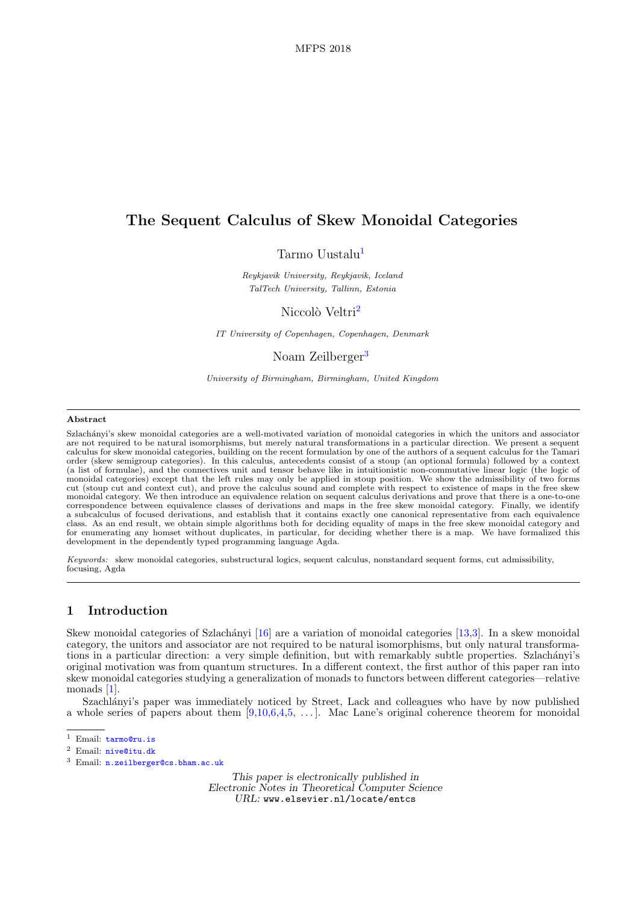# The Sequent Calculus of Skew Monoidal Categories

## Tarmo Uustalu[1](#page-0-0)

Reykjavik University, Reykjavik, Iceland TalTech University, Tallinn, Estonia

## Niccolò Veltri<sup>[2](#page-0-0)</sup>

IT University of Copenhagen, Copenhagen, Denmark

Noam Zeilberger<sup>[3](#page-0-0)</sup>

University of Birmingham, Birmingham, United Kingdom

#### <span id="page-0-0"></span>Abstract

Szlachányi's skew monoidal categories are a well-motivated variation of monoidal categories in which the unitors and associator are not required to be natural isomorphisms, but merely natural transformations in a particular direction. We present a sequent calculus for skew monoidal categories, building on the recent formulation by one of the authors of a sequent calculus for the Tamari order (skew semigroup categories). In this calculus, antecedents consist of a stoup (an optional formula) followed by a context (a list of formulae), and the connectives unit and tensor behave like in intuitionistic non-commutative linear logic (the logic of monoidal categories) except that the left rules may only be applied in stoup position. We show the admissibility of two forms cut (stoup cut and context cut), and prove the calculus sound and complete with respect to existence of maps in the free skew monoidal category. We then introduce an equivalence relation on sequent calculus derivations and prove that there is a one-to-one correspondence between equivalence classes of derivations and maps in the free skew monoidal category. Finally, we identify a subcalculus of focused derivations, and establish that it contains exactly one canonical representative from each equivalence class. As an end result, we obtain simple algorithms both for deciding equality of maps in the free skew monoidal category and for enumerating any homset without duplicates, in particular, for deciding whether there is a map. We have formalized this development in the dependently typed programming language Agda.

Keywords: skew monoidal categories, substructural logics, sequent calculus, nonstandard sequent forms, cut admissibility, focusing, Agda

### 1 Introduction

Skew monoidal categories of Szlachányi  $[16]$  are a variation of monoidal categories  $[13,3]$  $[13,3]$ . In a skew monoidal category, the unitors and associator are not required to be natural isomorphisms, but only natural transformations in a particular direction: a very simple definition, but with remarkably subtle properties. Szlachányi's original motivation was from quantum structures. In a different context, the first author of this paper ran into skew monoidal categories studying a generalization of monads to functors between different categories—relative monads [\[1\]](#page-17-3).

Szachlányi's paper was immediately noticed by Street, Lack and colleagues who have by now published a whole series of papers about them  $[9,10,6,4,5,...]$  $[9,10,6,4,5,...]$  $[9,10,6,4,5,...]$  $[9,10,6,4,5,...]$  $[9,10,6,4,5,...]$  $[9,10,6,4,5,...]$ . Mac Lane's original coherence theorem for monoidal

<sup>1</sup> Email: [tarmo@ru.is](mailto:tarmo@ru.is)

This paper is electronically published in Electronic Notes in Theoretical Computer Science URL: www.elsevier.nl/locate/entcs

<sup>2</sup> Email: [nive@itu.dk](mailto:nive@itu.dk)

<sup>3</sup> Email: [n.zeilberger@cs.bham.ac.uk](mailto:n.zeilberger@cs.bham.ac.uk)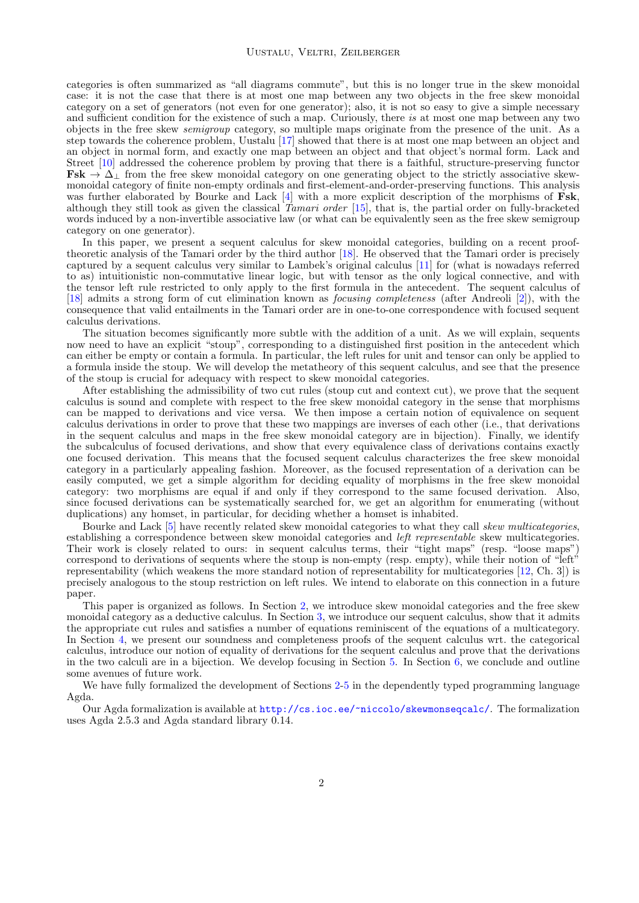categories is often summarized as "all diagrams commute", but this is no longer true in the skew monoidal case: it is not the case that there is at most one map between any two objects in the free skew monoidal category on a set of generators (not even for one generator); also, it is not so easy to give a simple necessary and sufficient condition for the existence of such a map. Curiously, there is at most one map between any two objects in the free skew semigroup category, so multiple maps originate from the presence of the unit. As a step towards the coherence problem, Uustalu [\[17\]](#page-17-9) showed that there is at most one map between an object and an object in normal form, and exactly one map between an object and that object's normal form. Lack and Street [\[10\]](#page-17-5) addressed the coherence problem by proving that there is a faithful, structure-preserving functor Fsk  $\rightarrow \Delta_1$  from the free skew monoidal category on one generating object to the strictly associative skewmonoidal category of finite non-empty ordinals and first-element-and-order-preserving functions. This analysis was further elaborated by Bourke and Lack  $[4]$  with a more explicit description of the morphisms of **Fsk**, although they still took as given the classical *Tamari order* [\[15\]](#page-17-10), that is, the partial order on fully-bracketed words induced by a non-invertible associative law (or what can be equivalently seen as the free skew semigroup category on one generator).

In this paper, we present a sequent calculus for skew monoidal categories, building on a recent prooftheoretic analysis of the Tamari order by the third author [\[18\]](#page-17-11). He observed that the Tamari order is precisely captured by a sequent calculus very similar to Lambek's original calculus [\[11\]](#page-17-12) for (what is nowadays referred to as) intuitionistic non-commutative linear logic, but with tensor as the only logical connective, and with the tensor left rule restricted to only apply to the first formula in the antecedent. The sequent calculus of [\[18\]](#page-17-11) admits a strong form of cut elimination known as focusing completeness (after Andreoli [\[2\]](#page-17-13)), with the consequence that valid entailments in the Tamari order are in one-to-one correspondence with focused sequent calculus derivations.

The situation becomes significantly more subtle with the addition of a unit. As we will explain, sequents now need to have an explicit "stoup", corresponding to a distinguished first position in the antecedent which can either be empty or contain a formula. In particular, the left rules for unit and tensor can only be applied to a formula inside the stoup. We will develop the metatheory of this sequent calculus, and see that the presence of the stoup is crucial for adequacy with respect to skew monoidal categories.

After establishing the admissibility of two cut rules (stoup cut and context cut), we prove that the sequent calculus is sound and complete with respect to the free skew monoidal category in the sense that morphisms can be mapped to derivations and vice versa. We then impose a certain notion of equivalence on sequent calculus derivations in order to prove that these two mappings are inverses of each other (i.e., that derivations in the sequent calculus and maps in the free skew monoidal category are in bijection). Finally, we identify the subcalculus of focused derivations, and show that every equivalence class of derivations contains exactly one focused derivation. This means that the focused sequent calculus characterizes the free skew monoidal category in a particularly appealing fashion. Moreover, as the focused representation of a derivation can be easily computed, we get a simple algorithm for deciding equality of morphisms in the free skew monoidal category: two morphisms are equal if and only if they correspond to the same focused derivation. Also, since focused derivations can be systematically searched for, we get an algorithm for enumerating (without duplications) any homset, in particular, for deciding whether a homset is inhabited.

Bourke and Lack [\[5\]](#page-17-8) have recently related skew monoidal categories to what they call *skew multicategories*, establishing a correspondence between skew monoidal categories and left representable skew multicategories. Their work is closely related to ours: in sequent calculus terms, their "tight maps" (resp. "loose maps") correspond to derivations of sequents where the stoup is non-empty (resp. empty), while their notion of "left" representability (which weakens the more standard notion of representability for multicategories [\[12,](#page-17-14) Ch. 3]) is precisely analogous to the stoup restriction on left rules. We intend to elaborate on this connection in a future paper.

This paper is organized as follows. In Section [2,](#page-2-0) we introduce skew monoidal categories and the free skew monoidal category as a deductive calculus. In Section [3,](#page-3-0) we introduce our sequent calculus, show that it admits the appropriate cut rules and satisfies a number of equations reminiscent of the equations of a multicategory. In Section [4,](#page-9-0) we present our soundness and completeness proofs of the sequent calculus wrt. the categorical calculus, introduce our notion of equality of derivations for the sequent calculus and prove that the derivations in the two calculi are in a bijection. We develop focusing in Section [5.](#page-15-0) In Section  $6$ , we conclude and outline some avenues of future work.

We have fully formalized the development of Sections [2-](#page-2-0)[5](#page-15-0) in the dependently typed programming language Agda.

Our Agda formalization is available at <http://cs.ioc.ee/~niccolo/skewmonseqcalc/>. The formalization uses Agda 2.5.3 and Agda standard library 0.14.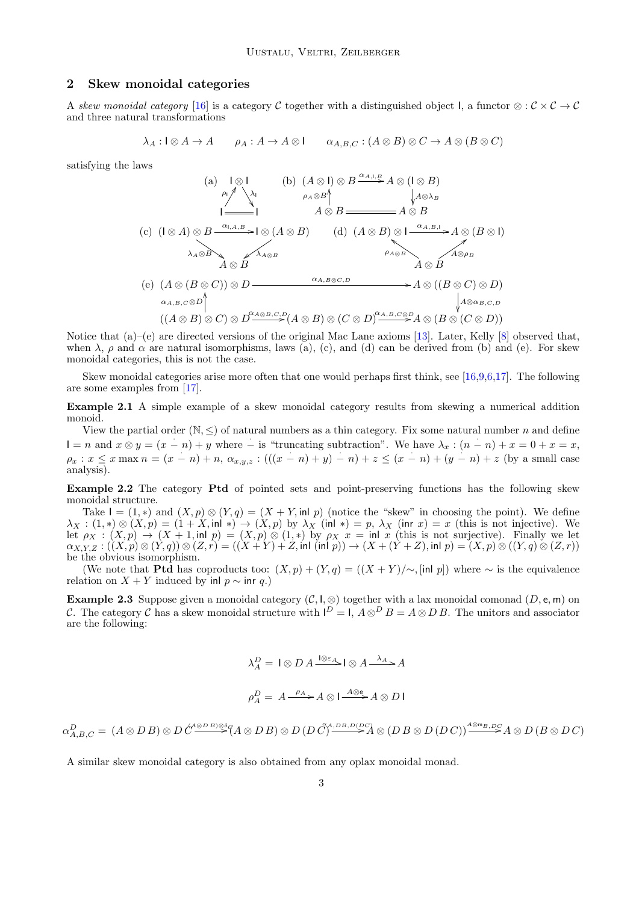#### <span id="page-2-0"></span>2 Skew monoidal categories

A skew monoidal category [\[16\]](#page-17-0) is a category C together with a distinguished object I, a functor  $\otimes : \mathcal{C} \times \mathcal{C} \to \mathcal{C}$ and three natural transformations

$$
\lambda_A: \mathsf{I} \otimes A \to A \qquad \rho_A: A \to A \otimes \mathsf{I} \qquad \alpha_{A,B,C}: (A \otimes B) \otimes C \to A \otimes (B \otimes C)
$$

satisfying the laws

(a) 181 (b) 
$$
(A \otimes I) \otimes B \xrightarrow{\alpha_{A,I,B}} A \otimes (I \otimes B)
$$
  
\n $\begin{array}{c}\n\begin{array}{c}\n\beta \uparrow \lambda_1 \\
\downarrow \\
\downarrow \\
\end{array} \\
\downarrow\n\end{array}$ \n(b)  $(A \otimes I) \otimes B \xrightarrow{\alpha_{A,I,B}} A \otimes (I \otimes B)$   
\n $\begin{array}{c}\nA \otimes B \downarrow \\
\downarrow A \otimes A \otimes B\n\end{array}$ \n(c)  $(I \otimes A) \otimes B \xrightarrow{\alpha_{I,A,B}} I \otimes (A \otimes B)$  (d)  $(A \otimes B) \otimes I \xrightarrow{\alpha_{A,B,I}} A \otimes (B \otimes I)$   
\n $\begin{array}{c}\n\lambda_A \otimes B \\
\downarrow A \otimes B\n\end{array}$ \n(d)  $(A \otimes B) \otimes I \xrightarrow{\alpha_{A,B,I}} A \otimes (B \otimes I)$   
\n $\begin{array}{c}\nA \otimes B \uparrow \\
\downarrow A \otimes B\n\end{array}$ \n(e)  $(A \otimes (B \otimes C)) \otimes D \xrightarrow{\alpha_{A,B,C,D}} A \otimes ((B \otimes C) \otimes D)$   
\n $\begin{array}{c}\n\lambda_{A,B,C} \otimes D \uparrow \\
\downarrow A \otimes \alpha_{B,C,D}\n\end{array}$ \n $(A \otimes B) \otimes C) \otimes D \xrightarrow{\alpha_{A,B,C,D}} (A \otimes B) \otimes (C \otimes D) \xrightarrow{\alpha_{A,B,C} \otimes P} A \otimes (B \otimes (C \otimes D))$ 

Notice that  $(a)$ –(e) are directed versions of the original Mac Lane axioms [\[13\]](#page-17-1). Later, Kelly [\[8\]](#page-17-15) observed that, when  $\lambda$ ,  $\rho$  and  $\alpha$  are natural isomorphisms, laws (a), (c), and (d) can be derived from (b) and (e). For skew monoidal categories, this is not the case.

Skew monoidal categories arise more often that one would perhaps first think, see [\[16](#page-17-0)[,9,](#page-17-4)[6,](#page-17-6)[17\]](#page-17-9). The following are some examples from [\[17\]](#page-17-9).

Example 2.1 A simple example of a skew monoidal category results from skewing a numerical addition monoid.

View the partial order  $(N, \leq)$  of natural numbers as a thin category. Fix some natural number n and define  $I = n$  and  $x \otimes y = (x - n) + y$  where  $-$  is "truncating subtraction". We have  $\lambda_x : (n - n) + x = 0 + x = x$ ,  $\rho_x: x \le x \text{ max } n = (x - n) + n, \ \alpha_{x,y,z} : (((x - n) + y) - n) + z \le (x - n) + (y - n) + z$  (by a small case analysis).

Example 2.2 The category Ptd of pointed sets and point-preserving functions has the following skew monoidal structure.

Take  $I = (1, *)$  and  $(X, p) \otimes (Y, q) = (X + Y, \text{inl } p)$  (notice the "skew" in choosing the point). We define  $\lambda_X : (1,*) \otimes (X,p) = (1+X,\text{inl*}) \rightarrow (X,p)$  by  $\lambda_X$  (inl \*) = p,  $\lambda_X$  (inr x) = x (this is not injective). We let  $\rho_X : (X,p) \to (X+1, \text{inl } p) = (X,p) \otimes (1,*)$  by  $\rho_X x = \text{inl } x$  (this is not surjective). Finally we let  $\alpha_{X,Y,Z} : ((X,p) \otimes (Y,q)) \otimes (Z,r) = ((X+Y)+Z, \mathsf{inl} \; (\mathsf{inl} \; p)) \to (X+(Y+Z), \mathsf{inl} \; p) = (X,p) \otimes ((Y,q) \otimes (Z,r))$ be the obvious isomorphism.

(We note that Ptd has coproducts too:  $(X, p) + (Y, q) = ((X + Y)/\sim, \text{[inl } p])$  where  $\sim$  is the equivalence relation on  $X + Y$  induced by inl  $p \sim \text{inr } q$ .)

**Example 2.3** Suppose given a monoidal category  $(C, I, \otimes)$  together with a lax monoidal comonad  $(D, e, m)$  on C. The category C has a skew monoidal structure with  $I^D = I$ ,  $A \otimes^D B = A \otimes D B$ . The unitors and associator are the following:

$$
\lambda_A^D = \mathsf{I} \otimes D \, A \xrightarrow{\mathsf{I} \otimes \varepsilon_A} \mathsf{I} \otimes A \xrightarrow{\lambda_A} A
$$

$$
\rho_A^D = A \xrightarrow{\rho_A} A \otimes I \xrightarrow{A \otimes e} A \otimes D I
$$

 $\alpha^D_{A,B,C} = \ (A \otimes D \, B) \otimes D \, C^{\scriptsize{{\scriptsize{{\large{\scriptsize{\begin{aligned}\Delta\otimes D \otimes \delta}}}}}}(A \otimes D \, B) \otimes D \, (D \, \tilde{C})^{\scriptsize{{\scriptsize{{\stackrel{\Delta B, D (D C) } \wedge \Delta B \otimes D}}}}(D \, B \otimes D \, (D \, C))^{\scriptsize{{\stackrel{\Delta \otimes m_{B, D C} \wedge \Delta B \otimes D}}}}(A \otimes D \, (B \otimes D \, C))^{\scriptsize{{\scriptsize{{\stackrel{\Delta B, D (D C) } \wedge \Delta B \otimes D}}}}($ 

A similar skew monoidal category is also obtained from any oplax monoidal monad.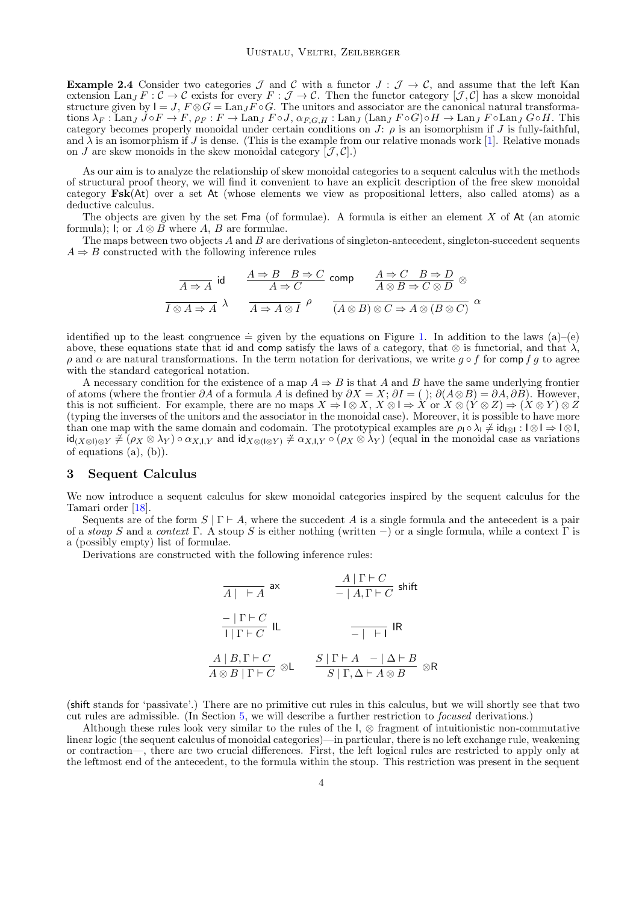**Example 2.4** Consider two categories  $\mathcal{J}$  and  $\mathcal{C}$  with a functor  $J : \mathcal{J} \to \mathcal{C}$ , and assume that the left Kan extension  $\text{Lan}_J F : \mathcal{C} \to \mathcal{C}$  exists for every  $F : \mathcal{J} \to \mathcal{C}$ . Then the functor category  $[\mathcal{J}, \mathcal{C}]$  has a skew monoidal structure given by  $I = J$ ,  $F \otimes G = \text{Lan}_J F \circ G$ . The unitors and associator are the canonical natural transformations  $\lambda_F : \text{Lan}_J \dot{J} \circ F \to F$ ,  $\rho_F : F \to \text{Lan}_J F \circ J$ ,  $\alpha_{F,G,H} : \text{Lan}_J (\text{Lan}_J F \circ G) \circ H \to \text{Lan}_J F \circ \text{Lan}_J G \circ H$ . This category becomes properly monoidal under certain conditions on J:  $\rho$  is an isomorphism if J is fully-faithful, and  $\lambda$  is an isomorphism if J is dense. (This is the example from our relative monads work [\[1\]](#page-17-3). Relative monads on J are skew monoids in the skew monoidal category  $[\mathcal{J}, \mathcal{C}]$ .)

As our aim is to analyze the relationship of skew monoidal categories to a sequent calculus with the methods of structural proof theory, we will find it convenient to have an explicit description of the free skew monoidal category Fsk(At) over a set At (whose elements we view as propositional letters, also called atoms) as a deductive calculus.

The objects are given by the set  $Fma$  (of formulae). A formula is either an element X of At (an atomic formula); I; or  $A \otimes \overline{B}$  where A, B are formulae.

The maps between two objects A and B are derivations of singleton-antecedent, singleton-succedent sequents  $A \Rightarrow B$  constructed with the following inference rules

$$
\frac{A \Rightarrow A}{A \Rightarrow A} \text{ id} \qquad \frac{A \Rightarrow B \quad B \Rightarrow C}{A \Rightarrow C} \text{ comp} \qquad \frac{A \Rightarrow C \quad B \Rightarrow D}{A \otimes B \Rightarrow C \otimes D} \otimes
$$
  

$$
\overline{I \otimes A \Rightarrow A} \quad \lambda \qquad \overline{A \Rightarrow A \otimes I} \quad \rho \qquad \overline{(A \otimes B) \otimes C \Rightarrow A \otimes (B \otimes C)} \quad \alpha
$$

identified up to the least congruence  $\dot{=}$  given by the equations on Figure [1.](#page-4-0) In addition to the laws (a)–(e) above, these equations state that id and comp satisfy the laws of a category, that  $\otimes$  is functorial, and that  $\lambda$ ,  $ρ$  and  $α$  are natural transformations. In the term notation for derivations, we write  $q ∘ f$  for comp  $fq$  to agree with the standard categorical notation.

A necessary condition for the existence of a map  $A \Rightarrow B$  is that A and B have the same underlying frontier of atoms (where the frontier  $\partial A$  of a formula A is defined by  $\partial X = X$ ;  $\partial I = ( \cdot )$ ;  $\partial (A \otimes B) = \partial A, \partial B$ ). However, this is not sufficient. For example, there are no maps  $X \to \mathbb{I} \otimes X$ ,  $X \otimes \mathbb{I} \to X$  or  $X \otimes (Y \otimes Z) \to (X \otimes Y) \otimes Z$ (typing the inverses of the unitors and the associator in the monoidal case). Moreover, it is possible to have more than one map with the same domain and codomain. The prototypical examples are  $\rho_1 \circ \lambda_1 \neq id_{\vert \otimes \vert} : \vert \otimes \vert \Rightarrow \vert \otimes \vert$ , id( $X \otimes$ i)⊗Y  $\neq$  ( $\rho_X \otimes \lambda_Y$ ) ∘  $\alpha_{X,\vert, Y}$  and id $_{X \otimes (\vert \otimes Y)} \neq \alpha_{X,\vert, Y} \circ (\rho_X \otimes \lambda_Y)$  (equal in the monoidal case as variations of equations (a), (b)).

#### <span id="page-3-0"></span>3 Sequent Calculus

We now introduce a sequent calculus for skew monoidal categories inspired by the sequent calculus for the Tamari order [\[18\]](#page-17-11).

Sequents are of the form  $S \mid \Gamma \vdash A$ , where the succedent A is a single formula and the antecedent is a pair of a stoup S and a context Γ. A stoup S is either nothing (written –) or a single formula, while a context Γ is a (possibly empty) list of formulae.

Derivations are constructed with the following inference rules:

$$
\begin{array}{ccc}\n\overline{A \mid H} & \text{ax} & \text{A} \mid \Gamma \vdash C \\
\hline\n- |I \rceil \vdash C & \text{L} & & \\
\hline\n\overline{I \mid \Gamma \vdash C} & \text{L} & & \\
\hline\n\overline{A \otimes B \mid \Gamma \vdash C} & \otimes L & & \text{S} \mid \Gamma \vdash A & - | \Delta \vdash B \\
\hline\n\end{array}
$$
\n
$$
\begin{array}{ccc}\nA \mid B, \Gamma \vdash C & \otimes L & & \text{S} \mid \Gamma \vdash A & - | \Delta \vdash B \\
\hline\n\overline{S} \mid \Gamma, \Delta \vdash A \otimes B & & \text{S} \n\end{array}
$$

(shift stands for 'passivate'.) There are no primitive cut rules in this calculus, but we will shortly see that two cut rules are admissible. (In Section [5,](#page-15-0) we will describe a further restriction to focused derivations.)

Although these rules look very similar to the rules of the I,  $\otimes$  fragment of intuitionistic non-commutative linear logic (the sequent calculus of monoidal categories)—in particular, there is no left exchange rule, weakening or contraction—, there are two crucial differences. First, the left logical rules are restricted to apply only at the leftmost end of the antecedent, to the formula within the stoup. This restriction was present in the sequent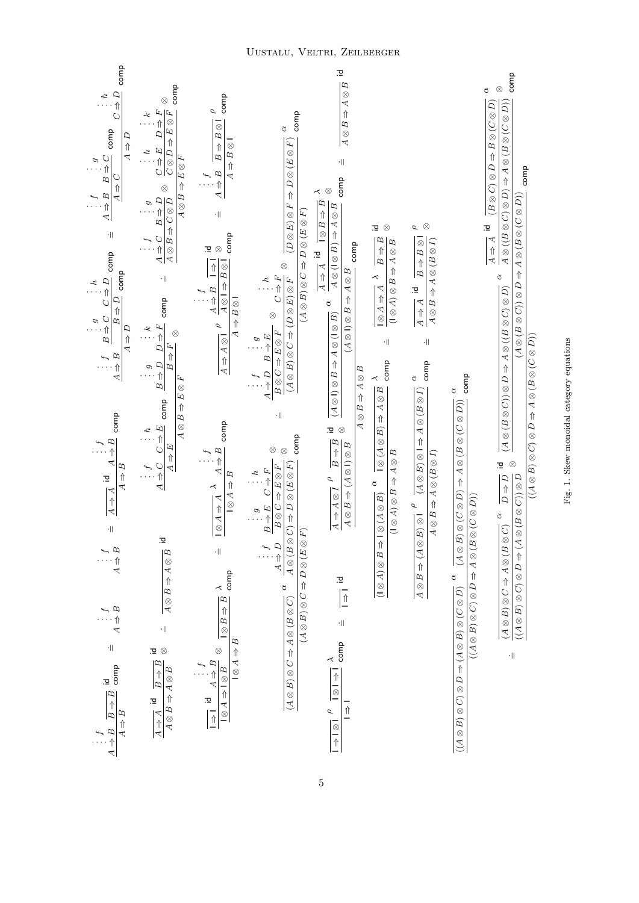

Fig. 1. Skew monoidal category equations

Fig. 1. Skew monoidal category equations

#### <span id="page-4-0"></span>Uustalu, Veltri, Zeilberger

5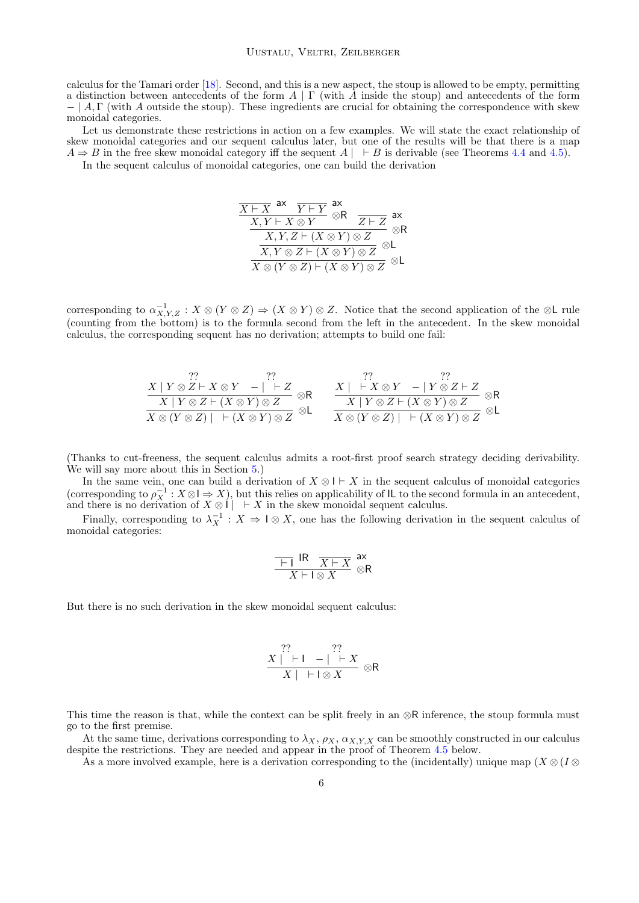calculus for the Tamari order [\[18\]](#page-17-11). Second, and this is a new aspect, the stoup is allowed to be empty, permitting a distinction between antecedents of the form  $A \mid \Gamma$  (with A inside the stoup) and antecedents of the form  $-$  | A, Γ (with A outside the stoup). These ingredients are crucial for obtaining the correspondence with skew monoidal categories.

Let us demonstrate these restrictions in action on a few examples. We will state the exact relationship of skew monoidal categories and our sequent calculus later, but one of the results will be that there is a map  $A \Rightarrow B$  in the free skew monoidal category iff the sequent  $A \mid \vdash B$  is derivable (see Theorems [4.4](#page-11-0) and [4.5\)](#page-11-1).

In the sequent calculus of monoidal categories, one can build the derivation

$$
\frac{\dfrac{\overline{X} + \overline{X}^{-\text{ax}} - \overline{Y} + \overline{Y}^{-\text{ax}}}{X, Y \vdash X \otimes Y} \otimes R}{\dfrac{\overline{X}, Y, Z \vdash (X \otimes Y) \otimes Z}{X, Y \otimes Z \vdash (X \otimes Y) \otimes Z} \otimes L}{\dfrac{\overline{X}, Y \otimes Z \vdash (X \otimes Y) \otimes Z}{X \otimes (Y \otimes Z) \vdash (X \otimes Y) \otimes Z} \otimes L}
$$

corresponding to  $\alpha^{-1}_{X,Y,Z}: X \otimes (Y \otimes Z) \Rightarrow (X \otimes Y) \otimes Z$ . Notice that the second application of the  $\otimes \mathsf{L}$  rule (counting from the bottom) is to the formula second from the left in the antecedent. In the skew monoidal calculus, the corresponding sequent has no derivation; attempts to build one fail:

$$
\frac{X \mid Y \otimes Z \vdash X \otimes Y \quad - \mid \quad \vdash Z}{X \mid Y \otimes Z \vdash (X \otimes Y) \otimes Z} \otimes R \qquad \frac{X \mid \quad \vdash X \otimes Y \quad - \mid Y \otimes Z \vdash Z}{X \mid Y \otimes Z \vdash (X \otimes Y) \otimes Z} \otimes R \qquad \frac{X \mid \quad \vdash X \otimes Y \quad - \mid Y \otimes Z \vdash Z}{X \mid Y \otimes Z \vdash (X \otimes Y) \otimes Z} \otimes R
$$

(Thanks to cut-freeness, the sequent calculus admits a root-first proof search strategy deciding derivability. We will say more about this in Section [5.](#page-15-0))

In the same vein, one can build a derivation of  $X \otimes I \vdash X$  in the sequent calculus of monoidal categories (corresponding to  $\rho_X^{-1}: X \otimes I \Rightarrow X$ ), but this relies on applicability of IL to the second formula in an antecedent, and there is no derivation of  $X \otimes \mathsf{I}$  |  $\vdash X$  in the skew monoidal sequent calculus.

Finally, corresponding to  $\lambda_X^{-1}$ :  $X \Rightarrow \mathsf{l} \otimes X$ , one has the following derivation in the sequent calculus of monoidal categories:

$$
\frac{\overline{+1} \, \text{IR} \, \overline{X+X}}{X \vdash 1 \otimes X} \, \overset{\text{ax}}{\otimes} R
$$

But there is no such derivation in the skew monoidal sequent calculus:

$$
\frac{X \mid \text{ } \vdash 1 \text{ } \mid \text{ } \mid} \text{ } \mid Y}{X \mid \text{ } \mid \text{ } \mid \text{ } \otimes X} \text{ } \otimes R
$$

This time the reason is that, while the context can be split freely in an  $\otimes$ R inference, the stoup formula must go to the first premise.

At the same time, derivations corresponding to  $\lambda_X$ ,  $\rho_X$ ,  $\alpha_{X,Y,X}$  can be smoothly constructed in our calculus despite the restrictions. They are needed and appear in the proof of Theorem [4.5](#page-11-1) below.

As a more involved example, here is a derivation corresponding to the (incidentally) unique map ( $X \otimes (I \otimes$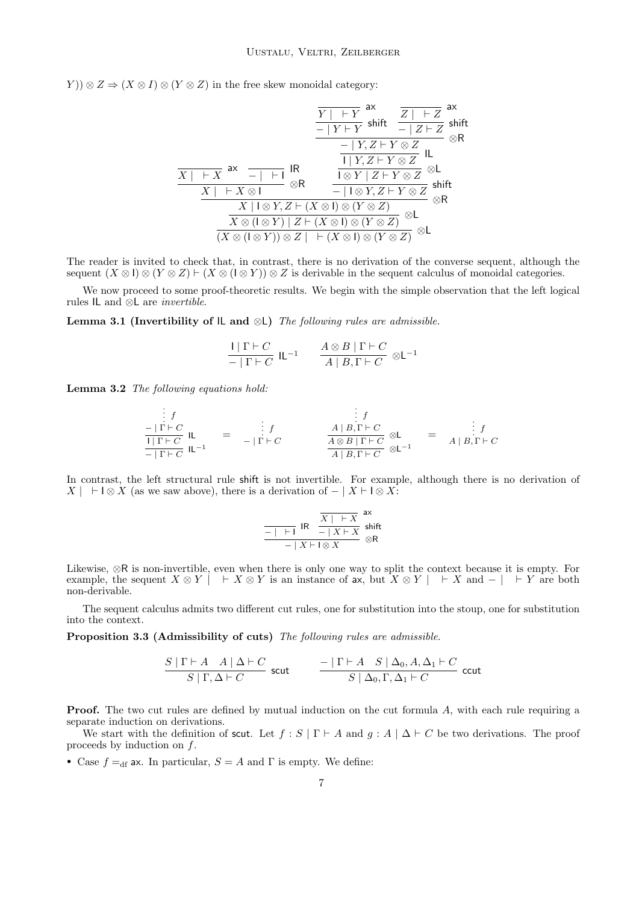$(Y)$ ) ⊗  $Z \Rightarrow (X \otimes I) \otimes (Y \otimes Z)$  in the free skew monoidal category:

X | ` X ax − | ` <sup>I</sup> IR X | ` X ⊗ I ⊗R Y | ` Y ax − | Y ` Y shift Z | ` Z ax − | Z ` Z shift − | Y, Z ` Y ⊗ Z ⊗R I | Y, Z ` Y ⊗ Z IL I ⊗ Y | Z ` Y ⊗ Z ⊗L − | I ⊗ Y, Z ` Y ⊗ Z shift X | I ⊗ Y, Z ` (X ⊗ I) ⊗ (Y ⊗ Z) ⊗R X ⊗ (I ⊗ Y ) | Z ` (X ⊗ I) ⊗ (Y ⊗ Z) ⊗L (X ⊗ (I ⊗ Y )) ⊗ Z | ` (X ⊗ I) ⊗ (Y ⊗ Z) ⊗L

The reader is invited to check that, in contrast, there is no derivation of the converse sequent, although the sequent  $(X \otimes I) \otimes (Y \otimes Z) \vdash (X \otimes (I \otimes Y)) \otimes Z$  is derivable in the sequent calculus of monoidal categories.

We now proceed to some proof-theoretic results. We begin with the simple observation that the left logical rules IL and ⊗L are invertible.

Lemma 3.1 (Invertibility of  $\mathsf{IL}$  and  $\otimes \mathsf{L}$ ) The following rules are admissible.

$$
\frac{1|\Gamma \vdash C}{-|\Gamma \vdash C} \mathsf{IL}^{-1} \qquad \frac{A \otimes B|\Gamma \vdash C}{A|B,\Gamma \vdash C} \otimes \mathsf{L}^{-1}
$$

<span id="page-6-0"></span>Lemma 3.2 The following equations hold:

$$
\frac{\begin{array}{rcl}\n & \vdots & f \\
-\vert \Gamma \vdash C & \vert \\
\hline\nI \vert \Gamma \vdash C & \vert\n\end{array} = \begin{array}{rcl}\n & \vdots & f \\
\hline\nI & \vert \Gamma \vdash C & \vert\n\end{array} \qquad \qquad \frac{A \vert B, \Gamma \vdash C}{A \otimes B \vert \Gamma \vdash C} \otimes L = \begin{array}{rcl}\n & \vdots & f \\
A \vert B, \Gamma \vdash C & \vert\n\end{array} = \begin{array}{rcl}\n & \vdots & f \\
A \vert B, \Gamma \vdash C & \vert\n\end{array}
$$

In contrast, the left structural rule shift is not invertible. For example, although there is no derivation of  $X \mid \vdash \mathsf{I} \otimes X$  (as we saw above), there is a derivation of  $- | X \vdash \mathsf{I} \otimes X$ :

$$
\frac{\frac{\overline{X} + \overline{X}}{-1 + \overline{X}} \text{ shift}}{\frac{-1 \times \overline{X} + \overline{X}}{-1 \times \overline{X}} \text{ shift}} \approx R
$$

Likewise, ⊗R is non-invertible, even when there is only one way to split the context because it is empty. For example, the sequent  $X \otimes Y$  |  $\vdash X \otimes Y$  is an instance of ax, but  $X \otimes Y$  |  $\vdash X$  and  $-$  |  $\vdash Y$  are both non-derivable.

The sequent calculus admits two different cut rules, one for substitution into the stoup, one for substitution into the context.

Proposition 3.3 (Admissibility of cuts) The following rules are admissible.

$$
\frac{S|\Gamma \vdash A \quad A|\Delta \vdash C}{S|\Gamma,\Delta \vdash C}
$$
scut\n
$$
\frac{-|\Gamma \vdash A \quad S|\Delta_0, A, \Delta_1 \vdash C}{S|\Delta_0, \Gamma, \Delta_1 \vdash C}
$$
ccut

**Proof.** The two cut rules are defined by mutual induction on the cut formula A, with each rule requiring a separate induction on derivations.

We start with the definition of scut. Let  $f : S | \Gamma \vdash A$  and  $g : A | \Delta \vdash C$  be two derivations. The proof proceeds by induction on f.

• Case  $f =_{df} x$ . In particular,  $S = A$  and  $\Gamma$  is empty. We define: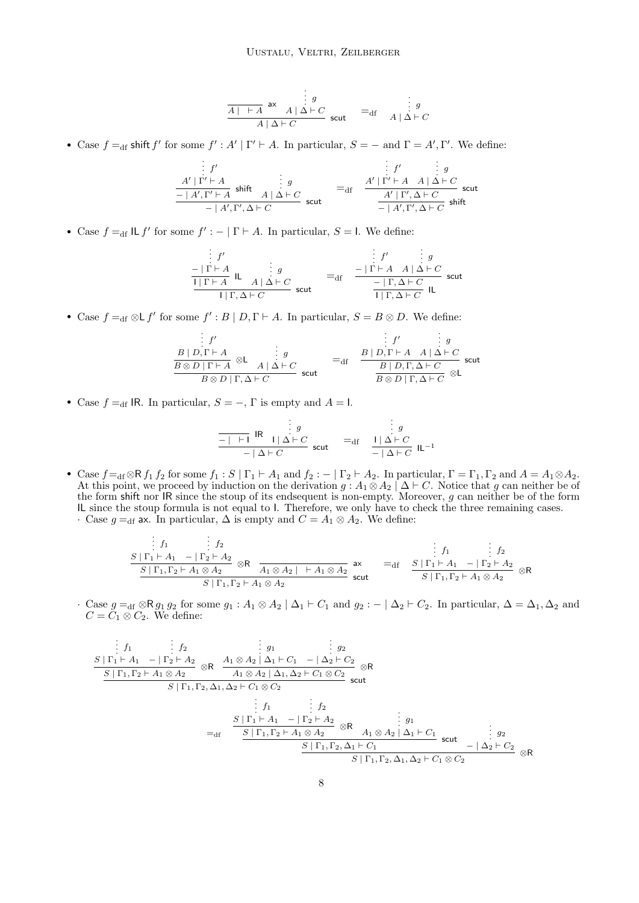A | ` A ax . . . . g A | ∆ ` C A | ∆ ` C scut =df . . . . g A | ∆ ` C

• Case  $f =_{df}$  shift f' for some  $f' : A' | \Gamma' \vdash A$ . In particular,  $S = -$  and  $\Gamma = A', \Gamma'$ . We define:

$$
\begin{array}{c}\n\vdots f' \\
A'|\Gamma' \vdash A \\
\hline\n- |A', \Gamma' \vdash A\n\end{array} \text{ shift } \begin{array}{c}\n\vdots g \\
A|\Delta \vdash C \\
\hline\n\end{array} \text{ scut} \qquad\n\begin{array}{c}\n\vdots f' \\
A'|\Gamma' \vdash A \quad A|\Delta \vdash C \\
\hline\nA'|\Gamma', \Delta \vdash C\n\end{array} \text{ scut} \text{ scut}\n\end{array}
$$

• Case  $f = df \mathsf{IL} f'$  for some  $f' : - | \Gamma \vdash A$ . In particular,  $S = I$ . We define:

$$
\begin{array}{c}\n\vdots f' \\
-\vert \Gamma \vdash A \\
\hline\n1 \vert \Gamma \vdash A\n\end{array} \begin{array}{c}\n\vdots g \\
\hline\n1 \vert \Gamma \vdash A\n\end{array} \begin{array}{c}\n\vdots f' \\
\hline\n\vdots g \\
\hline\n\end{array} = df \begin{array}{c}\n\vdots f' \\
-\vert \Gamma \vdash A \quad A \vert \Delta \vdash C \\
\hline\n- \vert \Gamma, \Delta \vdash C\n\end{array} \begin{array}{c}\n\vdots g \\
\hline\n\end{array} \begin{array}{c}\n\text{scut} \\
\hline\n\end{array}
$$

• Case  $f =_{df} \otimes L f'$  for some  $f' : B | D, \Gamma \vdash A$ . In particular,  $S = B \otimes D$ . We define:

$$
\begin{array}{c|c|c|c|c|c} & f' & \vdots & f' & \vdots & g \\ \hline B & D & \Gamma + A & \otimes \mathsf{L} & \mathsf{I} & \Delta + C & \mathsf{I} & \mathsf{I} & \mathsf{I} & \mathsf{I} & \mathsf{I} & \mathsf{I} & \mathsf{I} & \mathsf{I} \\ \hline B & \otimes D & \Gamma + A & A & \Delta + C & & \mathsf{S} & \mathsf{I} & \mathsf{I} & \mathsf{I} & \mathsf{I} & \mathsf{I} & \mathsf{I} & \mathsf{I} & \mathsf{I} & \mathsf{I} & \mathsf{I} & \mathsf{I} & \mathsf{I} & \mathsf{I} & \mathsf{I} & \mathsf{I} \\ \hline B & \otimes D & \Gamma + A & A & \Delta + C & & \mathsf{S} & \mathsf{I} & \mathsf{I} & \mathsf{I} & \mathsf{I} & \mathsf{I} & \mathsf{I} & \mathsf{I} & \mathsf{I} & \mathsf{I} & \mathsf{I} & \mathsf{I} & \mathsf{I} & \mathsf{I} & \mathsf{I} & \mathsf{I} & \mathsf{I} & \mathsf{I} & \mathsf{I} & \mathsf{I} & \mathsf{I} & \mathsf{I} & \mathsf{I} & \mathsf{I} & \mathsf{I} & \mathsf{I} & \mathsf{I} & \mathsf{I} & \mathsf{I} & \mathsf{I} & \mathsf{I} & \mathsf{I} & \mathsf{I} & \mathsf{I} & \mathsf{I} & \mathsf{I} & \mathsf{I} & \mathsf{I} & \mathsf{I} & \mathsf{I} & \mathsf{I} & \mathsf{I} & \mathsf{I} & \mathsf{I} & \mathsf{I} & \mathsf{I} & \mathsf{I} & \mathsf{I} & \mathsf{I} & \mathsf{I} & \mathsf{I} & \mathsf{I} & \mathsf{I} & \mathsf{I} & \mathsf{I} & \mathsf{I} & \mathsf{I} & \mathsf{I} & \mathsf{I} & \mathsf{I} & \mathsf{I} & \mathsf{I} & \mathsf{I} & \mathsf{I} & \mathsf{I} & \mathsf{I} & \mathsf{I} & \mathsf{I} & \math
$$

• Case  $f = df$  IR. In particular,  $S = -$ ,  $\Gamma$  is empty and  $A = I$ .

$$
\frac{\begin{array}{c}\n\vdots g \\
\hline\n-|H| & R \\
\hline\n-|A| & C\n\end{array}}{\begin{array}{c}\n\vdots g \\
\hline\n-|A| & C\n\end{array}} = df \quad \begin{array}{c}\n\vdots g \\
\hline\n\vdots g \\
\hline\n-\Delta| & C\n\end{array} \quad L^{-1}
$$

• Case  $f =_{df} \otimes R f_1 f_2$  for some  $f_1 : S | \Gamma_1 \vdash A_1$  and  $f_2 : - | \Gamma_2 \vdash A_2$ . In particular,  $\Gamma = \Gamma_1, \Gamma_2$  and  $A = A_1 \otimes A_2$ . At this point, we proceed by induction on the derivation  $g : A_1 \otimes A_2 \mid \Delta \vdash C$ . Notice that g can neither be of the form shift nor IR since the stoup of its endsequent is non-empty. Moreover, g can neither be of the form IL since the stoup formula is not equal to I. Therefore, we only have to check the three remaining cases. · Case  $g =_{df}$  ax. In particular,  $\Delta$  is empty and  $C = A_1 \otimes A_2$ . We define:

$$
\begin{array}{c}\n\vdots f_1 & \vdots f_2 \\
S \mid \Gamma_1 \vdash A_1 & - \mid \Gamma_2 \vdash A_2 \\
\hline\nS \mid \Gamma_1, \Gamma_2 \vdash A_1 \otimes A_2 & \otimes R & A_1 \otimes A_2 \mid \ \vdash A_1 \otimes A_2 & \text{scut}\n\end{array}\n\quad\n\begin{array}{c}\n\vdots f_1 & \vdots f_2 \\
\hline\nS \mid \Gamma_1 \vdash A_1 & - \mid \Gamma_2 \vdash A_2 \\
\hline\nS \mid \Gamma_1, \Gamma_2 \vdash A_1 \otimes A_2 & \text{scut}\n\end{array}
$$

• Case  $g =_{df} \otimes R g_1 g_2$  for some  $g_1 : A_1 \otimes A_2 \mid \Delta_1 \vdash C_1$  and  $g_2 : - \mid \Delta_2 \vdash C_2$ . In particular,  $\Delta = \Delta_1, \Delta_2$  and  $C = C_1 \otimes C_2$ . We define:

$$
\begin{array}{ccc}\n\vdots & f_1 & \vdots & f_2 & \vdots & g_1 \\
S \mid \Gamma_1 \vdash A_1 & - \mid \Gamma_2 \vdash A_2 \\
S \mid \Gamma_1, \Gamma_2 \vdash A_1 \otimes A_2 & \otimes R & A_1 \otimes A_2 \mid \Delta_1 \vdash C_1 & - \mid \Delta_2 \vdash C_2 \\
S \mid \Gamma_1, \Gamma_2 \vdash A_1 \otimes A_2 & A_1 \otimes A_2 \mid \Delta_1, \Delta_2 \vdash C_1 \otimes C_2 & \otimes R \\
& S \mid \Gamma_1, \Gamma_2, \Delta_1, \Delta_2 \vdash C_1 \otimes C_2 & & \text{scut} \\
& \vdots & f_1 & \vdots & f_2 \\
& S \mid \Gamma_1 \vdash A_1 & - \mid \Gamma_2 \vdash A_2 & \otimes R & A_1 \otimes A_2 \mid \Delta_1 \vdash C_1 \\
& S \mid \Gamma_1, \Gamma_2 \vdash A_1 \otimes A_2 & & A_1 \otimes A_2 \mid \Delta_1 \vdash C_1 & \vdots & g_2 \\
& S \mid \Gamma_1, \Gamma_2, \Delta_1 \vdash C_1 & & S \mid \Gamma_1, \Gamma_2, \Delta_1, \Delta_2 \vdash C_1 \otimes C_2 & & \otimes R\n\end{array}
$$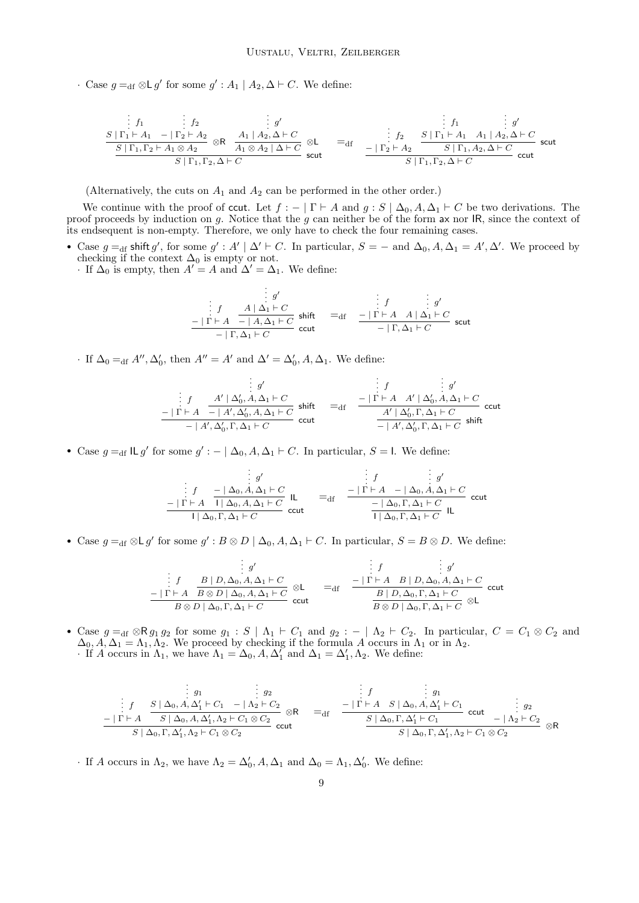$\cdot$  Case  $g =_{df} \otimes Lg'$  for some  $g' : A_1 \mid A_2, \Delta \vdash C$ . We define:

$$
\begin{array}{c|c|c|c|c|c|c|c|c} \hline \vdots & f_1 & \vdots & f_2 & \vdots & g' & \vdots & f_1 & \vdots & g'\\ \hline S|\Gamma_1 \vdash A_1 & -|\Gamma_2 \vdash A_2 & \otimes \mathsf{R} & A_1 | A_2, \Delta \vdash C & & \vdots & f_2 & S|\Gamma_1 \vdash A_1 & A_1 | A_2, \Delta \vdash C\\ \hline S|\Gamma_1, \Gamma_2 \vdash A_1 \otimes A_2 & \otimes \mathsf{R} & A_1 \otimes A_2 | \Delta \vdash C & & \text{scut} & & \mathcal{I} & S|\Gamma_1 \vdash A_2 & \Delta \vdash C & & \text{scut} \\ \hline \end{array}
$$

(Alternatively, the cuts on  $A_1$  and  $A_2$  can be performed in the other order.)

We continue with the proof of ccut. Let  $f : - | \Gamma \vdash A$  and  $g : S | \Delta_0, A, \Delta_1 \vdash C$  be two derivations. The proof proceeds by induction on g. Notice that the g can neither be of the form  $ax$  nor IR, since the context of its endsequent is non-empty. Therefore, we only have to check the four remaining cases.

• Case  $g =_{df}$  shift g', for some  $g' : A' | ∆' ⊢ C$ . In particular,  $S = -$  and  $\Delta_0, A, \Delta_1 = A', \Delta'$ . We proceed by checking if the context  $\Delta_0$  is empty or not.

• If  $\Delta_0$  is empty, then  $A' = A$  and  $\Delta' = \Delta_1$ . We define:

$$
\begin{array}{c}\n\vdots g' \\
\vdots f \\
\hline\n-\Gamma \vdash A \quad - \mid A, \Delta_1 \vdash C\n\end{array}\n\text{shift}\n\begin{array}{c}\n\vdots f \\
\hline\n\vdots f' \\
\hline\n\vdots f'\n\end{array}\n\begin{array}{c}\n\vdots g' \\
\hline\n\vdots g' \\
\hline\n-\mid \Gamma \vdash A \quad A \mid \Delta_1 \vdash C\n\end{array}\n\text{scut}
$$

 $\cdot$  If  $\Delta_0 =_{df} A'', \Delta'_0$ , then  $A'' = A'$  and  $\Delta' = \Delta'_0, A, \Delta_1$ . We define:

$$
\begin{array}{c}\n\vdots g' & \vdots g'\n\\ \n-I \Gamma \vdash A & -|A', \Delta_0', A, \Delta_1 \vdash C\n\\ \n-I \ A', \Delta_0', I, \Delta_1 \vdash C\n\end{array}\n\quad\n\begin{array}{c}\n\vdots f & \vdots g'\n\\ \n= \text{df} & -|\Gamma \vdash A & A' | \Delta_0', A, \Delta_1 \vdash C\n\\ \n\frac{A' | \Delta_0', \Gamma, \Delta_1 \vdash C}{-|A', \Delta_0', \Gamma, \Delta_1 \vdash C}\n\end{array}\n\quad\n\begin{array}{c}\n\vdots g' & \vdots g'\n\\ \n= \text{df} & \frac{A' | \Delta_0', \Gamma, \Delta_1 \vdash C}{-|A', \Delta_0', \Gamma, \Delta_1 \vdash C}\n\end{array}
$$

• Case  $g =_{df} \mathsf{IL} g'$  for some  $g' : - | \Delta_0, A, \Delta_1 \vdash C$ . In particular,  $S = \mathsf{I}$ . We define:

$$
\begin{array}{c}\n\vdots g' \\
\vdots f - |\Delta_0, A, \Delta_1 \vdash C \\
\hline\nI | \Delta_0, \Gamma, \Delta_1 \vdash C\n\end{array} \xrightarrow{\text{all}} \begin{array}{c}\n\vdots f \\
\hline\nI | F + A - |\Delta_0, A, \Delta_1 \vdash C \\
\hline\nI | \Delta_0, \Gamma, \Delta_1 \vdash C\n\end{array} \xrightarrow{\text{cut}} \begin{array}{c}\n\vdots f \\
\hline\nI | F + A - |\Delta_0, A, \Delta_1 \vdash C \\
\hline\nI | \Delta_0, \Gamma, \Delta_1 \vdash C\n\end{array} \xrightarrow{\text{cut}} \begin{array}{c}\n\vdots g' \\
\hline\n\end{array}
$$

• Case  $g =_{df} \otimes \mathsf{L} g'$  for some  $g' : B \otimes D \mid \Delta_0, A, \Delta_1 \vdash C$ . In particular,  $S = B \otimes D$ . We define:

$$
\begin{array}{c}\n\vdots g' & \vdots g'\n\\ \n-I \Gamma \vdash A \quad B \otimes D \mid \Delta_0, A, \Delta_1 \vdash C \n\\ \nB \otimes D \mid \Delta_0, \Gamma, \Delta_1 \vdash C\n\end{array} \cong \begin{array}{c}\n\vdots f & \vdots g'\n\\ \n\text{=}\n\\
\text{=}\n\\
\text{=}\n\\
\text{=}\n\\
\text{=}\n\\
\text{=}\n\\
\text{=}\n\\
\text{=}\n\\
\text{=}\n\\
\text{=}\n\\
\text{=}\n\\
\text{=}\n\\
\text{=}\n\\
\text{=}\n\\
\text{=}\n\\
\text{=}\n\\
\text{=}\n\\
\text{=}\n\\
\text{=}\n\\
\text{=}\n\\
\text{=}\n\\
\text{=}\n\\
\text{=}\n\\
\text{=}\n\\
\text{=}\n\\
\text{=}\n\\
\text{=}\n\\
\text{=}\n\\
\text{=}\n\\
\text{=}\n\\
\text{=}\n\\
\text{=}\n\\
\text{=}\n\\
\text{=}\n\\
\text{=}\n\\
\text{=}\n\\
\text{=}\n\\
\text{=}\n\\
\text{=}\n\\
\text{=}\n\\
\text{=}\n\\
\text{=}\n\\
\text{=}\n\\
\text{=}\n\\
\text{=}\n\\
\text{=}\n\\
\text{=}\n\\
\text{=}\n\\
\text{=}\n\\
\text{=}\n\\
\text{=}\n\\
\text{=}\n\\
\text{=}\n\\
\text{=}\n\\
\text{=}\n\\
\text{=}\n\\
\text{=}\n\\
\text{=}\n\\
\text{=}\n\\
\text{=}\n\\
\text{=}\n\\
\text{=}\n\\
\text{=}\n\\
\text{=}\n\\
\text{=}\n\\
\text{=}\n\\
\text{=}\n\\
\text{=}\n\\
\text{=}\n\\
\text{=}\n\\
\text{=}\n\\
\text{=}\n\\
\text{=}\n\\
\text{=}\n\\
\text{=}\n\\
\text{=}\n\\
\text{=}\n\\
\text{=}\n\\
\text{=}\n\\
\text{=}\n\\
\text{=}\n\\
$$

• Case  $g =_{df} \otimes R g_1 g_2$  for some  $g_1 : S \mid \Lambda_1 \vdash C_1$  and  $g_2 : - \mid \Lambda_2 \vdash C_2$ . In particular,  $C = C_1 \otimes C_2$  and  $\Delta_0$ ,  $A, \Delta_1 = \Lambda_1$ ,  $\Lambda_2$ . We proceed by checking if the formula A occurs in  $\Lambda_1$  or in  $\Lambda_2$ . · If A occurs in  $\Lambda_1$ , we have  $\Lambda_1 = \Delta_0$ , A,  $\Delta_1'$  and  $\Delta_1 = \Delta_1'$ ,  $\Lambda_2$ . We define:

$$
\begin{array}{ccccccccc}\n & \vdots & g_1 & \vdots & g_2 & \vdots & f & \vdots & g_1 \\
\hline\n\vdots & f & S \mid \Delta_0, A, \Delta_1' \vdash C_1 & - \mid \Lambda_2 \vdash C_2 & \\
\hline\n-\mid \Gamma \vdash A & S \mid \Delta_0, A, \Delta_1', \Lambda_2 \vdash C_1 \otimes C_2 & \text{cut} & \\
\hline\n& S \mid \Delta_0, \Gamma, \Delta_1', \Lambda_2 \vdash C_1 \otimes C_2 & \text{cut} & \\
\hline\n& & \text{cut} & S \mid \Delta_0, \Gamma, \Delta_1', \Lambda_2 \vdash C_1 \otimes C_2 & \text{cut} & \\
\hline\n& & S \mid \Delta_0, \Gamma, \Delta_1', \Lambda_2 \vdash C_1 \otimes C_2 & \text{cut} & \\
\hline\n& & S \mid \Delta_0, \Gamma, \Delta_1', \Lambda_2 \vdash C_1 \otimes C_2 & \text{cut} & \\
\hline\n& & \text{cut} & S \mid \Delta_0, \Gamma, \Delta_1', \Lambda_2 \vdash C_1 \otimes C_2 & \text{cut} & \\
\hline\n& & \text{cut} & S \mid \Delta_0, \Gamma, \Delta_1', \Lambda_2 \vdash C_1 \otimes C_2 & \text{cut} & \\
\hline\n& & \text{cut} & S \mid \Delta_0, \Gamma, \Delta_1', \Lambda_2 \vdash C_1 \otimes C_2 & \text{cut} & \\
\hline\n& & \text{cut} & S \mid \Delta_0, \Gamma, \Delta_1', \Lambda_2 \vdash C_1 \otimes C_2 & \text{cut} & \\
\hline\n& & \text{cut} & S \mid \Delta_0, \Gamma, \Delta_1', \Lambda_2 \vdash C_1 \otimes C_2 & \text{cut} & \\
\hline\n& & \text{cut} & S \mid \Delta_0, \Gamma, \Delta_1', \Lambda_2 \vdash C_1 \otimes C_2 & \text{cut} & \\
\hline\n& &
$$

 $\cdot$  If A occurs in  $\Lambda_2$ , we have  $\Lambda_2 = \Delta'_0$ , A,  $\Delta_1$  and  $\Delta_0 = \Lambda_1$ ,  $\Delta'_0$ . We define: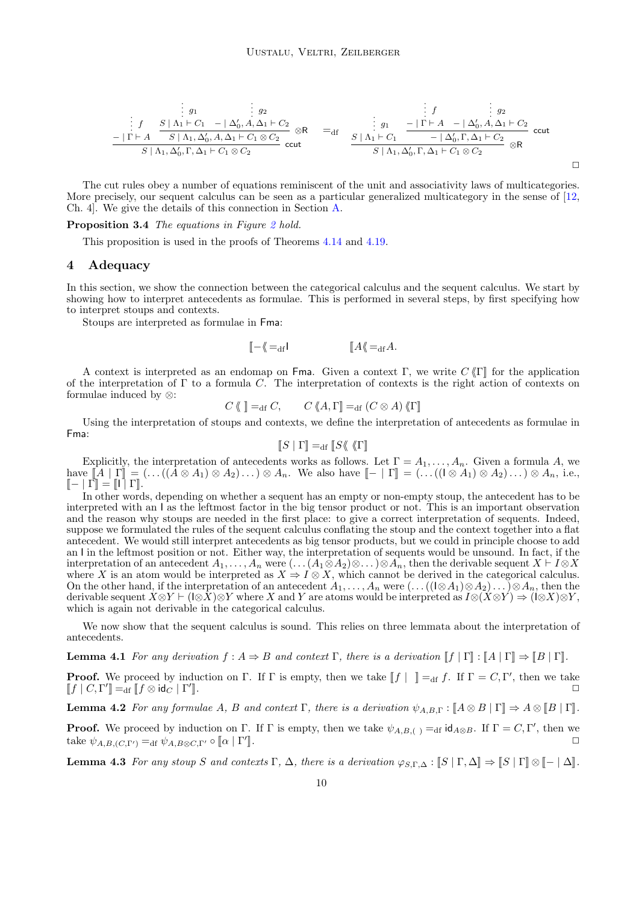$$
\begin{array}{c}\n\vdots g_1 \\
\vdots g_2 \\
\hline\n-\Gamma \vdash A\n\end{array}\n\begin{array}{c}\n\vdots g_1 \\
S \mid \Lambda_1 \vdash C_1\n\end{array}\n\begin{array}{c}\n\vdots g_2 \\
\hline\n\vdots g_2 \\
\Lambda_1 \Lambda_2 \vdash C_2\n\end{array}\n\otimes R\n\begin{array}{c}\n\vdots g_1 \\
\hline\n\vdots g_1\n\end{array}\n\begin{array}{c}\n\vdots f \\
\hline\n\vdots g_2\n\end{array}\n\end{array}\n\otimes\Gamma \end{array}\n\quad \text{cut}
$$
\n
$$
\begin{array}{c}\n\vdots g_1 \\
\hline\n\vdots g_2 \\
\hline\n\vdots g_1 \\
\hline\n\vdots g_2\n\end{array}\n\quad \begin{array}{c}\n\vdots g_2 \\
\hline\n\vdots g_1 \\
\hline\n\vdots g_2\n\end{array}\n\quad \begin{array}{c}\n\vdots g_2 \\
\hline\n\vdots g_2\n\end{array}\n\quad \text{cut}
$$

The cut rules obey a number of equations reminiscent of the unit and associativity laws of multicategories. More precisely, our sequent calculus can be seen as a particular generalized multicategory in the sense of [\[12,](#page-17-14) Ch. 4]. We give the details of this connection in Section [A.](#page-18-0)

Proposition 3.4 The equations in Figure [2](#page-10-0) hold.

This proposition is used in the proofs of Theorems [4.14](#page-14-0) and [4.19.](#page-15-1)

#### <span id="page-9-0"></span>4 Adequacy

In this section, we show the connection between the categorical calculus and the sequent calculus. We start by showing how to interpret antecedents as formulae. This is performed in several steps, by first specifying how to interpret stoups and contexts.

Stoups are interpreted as formulae in Fma:

$$
[\![-\langle\!\!\!\bigwedge_{\mathcal{d}f} \mathsf{I} \mathsf{I} \mathsf{I} \mathsf{I} \mathsf{I} \mathsf{I}] \!]\!A \langle\!\!\!\bigwedge_{\mathcal{d}f} \mathcal{A} \mathsf{I} \mathsf{I} \mathsf{I} \mathsf{I} \mathsf{I} \mathsf{I} \mathsf{I} \mathsf{I} \mathsf{I} \mathsf{I} \mathsf{I} \mathsf{I} \mathsf{I} \mathsf{I} \mathsf{I} \mathsf{I} \mathsf{I} \mathsf{I} \mathsf{I} \mathsf{I} \mathsf{I} \mathsf{I} \mathsf{I} \mathsf{I} \mathsf{I} \mathsf{I} \mathsf{I} \mathsf{I} \mathsf{I} \mathsf{I} \mathsf{I} \mathsf{I} \mathsf{I} \mathsf{I} \mathsf{I} \mathsf{I} \mathsf{I} \mathsf{I} \mathsf{I} \mathsf{I} \mathsf{I} \mathsf{I} \mathsf{I} \mathsf{I} \mathsf{I} \mathsf{I} \mathsf{I} \mathsf{I} \mathsf{I} \mathsf{I} \mathsf{I} \mathsf{I} \mathsf{I} \mathsf{I} \mathsf{I} \mathsf{I} \mathsf{I} \mathsf{I} \mathsf{I} \mathsf{I} \mathsf{I} \mathsf{I} \mathsf{I} \mathsf{I} \mathsf{I} \mathsf{I} \mathsf{I} \mathsf{I} \mathsf{I} \mathsf{I} \mathsf{I} \mathsf{I} \mathsf{I} \mathsf{I} \mathsf{I} \mathsf{I} \mathsf{I} \mathsf{I} \mathsf{I} \mathsf{I} \mathsf{I} \mathsf{I} \mathsf{I} \mathsf{I} \mathsf{I} \mathsf{I} \mathsf{I} \mathsf{I} \mathsf{I} \mathsf{I} \mathsf{I} \mathsf{I} \mathsf{I} \mathsf{I} \mathsf{I} \mathsf{I} \mathsf{I} \mathsf{I} \mathsf{I} \mathsf{I} \mathsf{I} \mathsf{I} \mathsf{I} \mathsf{I} \mathsf{I} \mathsf{I} \mathsf{I} \mathsf{I} \mathsf{I} \mathsf{I} \mathsf{I} \mathsf{I} \
$$

A context is interpreted as an endomap on Fma. Given a context Γ, we write  $C \langle \Gamma |$  for the application of the interpretation of  $\Gamma$  to a formula C. The interpretation of contexts is the right action of contexts on formulae induced by ⊗:

$$
C \langle \!\langle \ ] \ ] =_{\text{df}} C, \qquad C \langle \!\langle A, \Gamma \ ] \!] =_{\text{df}} (C \otimes A) \langle \! \langle \Gamma \ ]
$$

Using the interpretation of stoups and contexts, we define the interpretation of antecedents as formulae in Fma:

$$
\llbracket S \mid \Gamma \rrbracket =_{\mathrm{df}} \llbracket S \ll \llbracket \Gamma \rrbracket
$$

Explicitly, the interpretation of antecedents works as follows. Let  $\Gamma = A_1, \ldots, A_n$ . Given a formula A, we have  $\llbracket A \mid \Gamma \rrbracket = (\dots ((\bar{A} \otimes A_1) \otimes A_2) \dots) \otimes A_n$ . We also have  $\llbracket - \mid \Gamma \rrbracket = (\dots ((\lvert \otimes A_1) \otimes A_2) \dots) \otimes A_n$ , i.e.,  $\llbracket - \mid \vec{\Gamma} \rrbracket = \llbracket \vec{\mathsf{I}} \mid \vec{\Gamma} \rrbracket.$ 

In other words, depending on whether a sequent has an empty or non-empty stoup, the antecedent has to be interpreted with an I as the leftmost factor in the big tensor product or not. This is an important observation and the reason why stoups are needed in the first place: to give a correct interpretation of sequents. Indeed, suppose we formulated the rules of the sequent calculus conflating the stoup and the context together into a flat antecedent. We would still interpret antecedents as big tensor products, but we could in principle choose to add an I in the leftmost position or not. Either way, the interpretation of sequents would be unsound. In fact, if the interpretation of an antecedent  $A_1, \ldots, A_n$  were  $(\ldots (A_1 \otimes A_2) \otimes \ldots) \otimes A_n$ , then the derivable sequent  $X \vdash I \otimes X$ where X is an atom would be interpreted as  $X \Rightarrow I \otimes X$ , which cannot be derived in the categorical calculus. On the other hand, if the interpretation of an antecedent  $A_1, \ldots, A_n$  were  $(\ldots((\otimes A_1) \otimes A_2) \ldots) \otimes A_n$ , then the derivable sequent  $X \otimes Y \vdash (\mathsf{I} \otimes X) \otimes Y$  where X and Y are atoms would be interpreted as  $I \otimes (\dot{X} \otimes Y) \Rightarrow (\mathsf{I} \otimes X) \otimes Y$ , which is again not derivable in the categorical calculus.

We now show that the sequent calculus is sound. This relies on three lemmata about the interpretation of antecedents.

**Lemma 4.1** For any derivation  $f : A \Rightarrow B$  and context  $\Gamma$ , there is a derivation  $\llbracket f \mid \Gamma \rrbracket : \llbracket A \mid \Gamma \rrbracket \Rightarrow \llbracket B \mid \Gamma \rrbracket$ .

**Proof.** We proceed by induction on Γ. If Γ is empty, then we take  $[[f \mid ]] = df$ . If  $\Gamma = C, \Gamma'$ , then we take  $[[f \mid C \Gamma']] = df \cap G$  $\llbracket f \mid C, \Gamma' \rrbracket =_{\mathrm{df}} \llbracket f \otimes \mathsf{id}_C \mid \Gamma'$  $\Box$ 

**Lemma 4.2** For any formulae A, B and context  $\Gamma$ , there is a derivation  $\psi_{A,B,\Gamma}: [A \otimes B | \Gamma] \Rightarrow A \otimes [B | \Gamma].$ 

**Proof.** We proceed by induction on  $\Gamma$ . If  $\Gamma$  is empty, then we take  $\psi_{A,B,(\ )} =_{df} id_{A\otimes B}$ . If  $\Gamma = C, \Gamma'$ , then we take  $\psi_{A,B,(C,\Gamma')} =$ df  $\psi_{A,B\otimes C,\Gamma'} \circ [\alpha] \Gamma'$  $\Box$ 

**Lemma 4.3** For any stoup S and contexts  $\Gamma$ ,  $\Delta$ , there is a derivation  $\varphi_{S,\Gamma,\Delta} : \llbracket S \mid \Gamma, \Delta \rrbracket \Rightarrow \llbracket S \mid \Gamma \rrbracket \otimes \llbracket - \mid \Delta \rrbracket$ .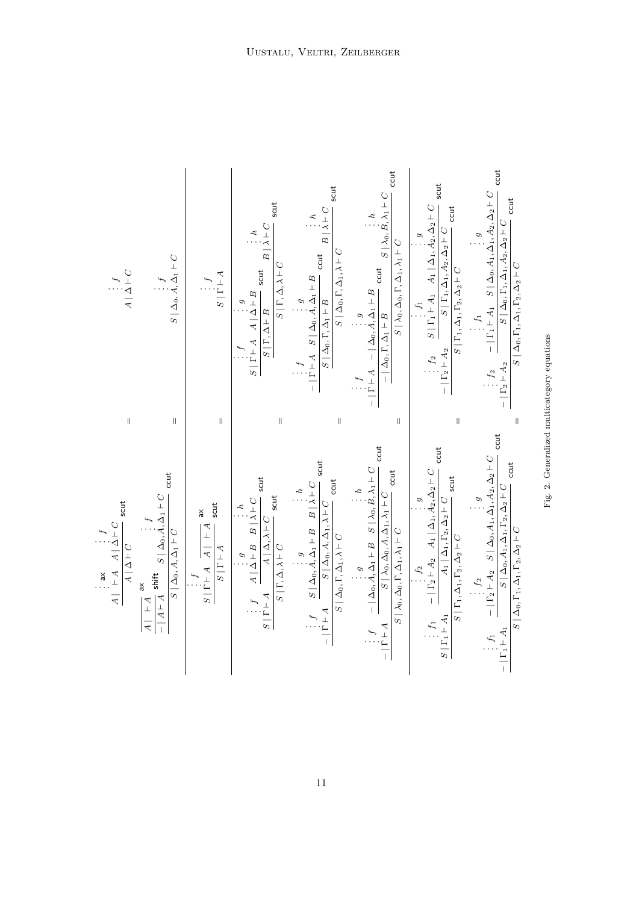<span id="page-10-0"></span>

| $\begin{array}{c} \vdots f \\ A \mid \Delta \vdash C \end{array}$                                                                     | $S   \Delta_0, A, \Delta_1 \vdash C$                                                                                                                           | $S \mid \Gamma \vdash A$                                                                              | scut<br>$S \Gamma,\Delta\vdash B$ scut $B \lambda\vdash C$<br>$S \mid \Gamma, \Delta, \lambda \vdash C$<br>$\begin{array}{c} \vdots & f \\ S \mid \Gamma \vdash A & A \mid \Delta \vdash B \end{array}$                                                                                                                                                                                                                                                                                                                          | scut<br>ccut $B   \lambda \vdash C$<br>$\ddot{h}$<br>$S \mid \Delta_0, \Gamma, \Delta_1, \lambda \vdash C$<br>$- \Gamma \vdash A \quad S \mid \Delta_0, A, \Delta_1 \vdash B$<br>$S\mid \Delta_0, \Gamma, \Delta_1 \vdash B$                                                                                               | ccut<br>$- \Gamma  + A -  \Delta_0, A, \Delta_1  + B$ ccut $S  \lambda_0, B, \lambda_1  + C$<br>$S\mid \lambda_0,\Delta_0,\Gamma,\Delta_1,\lambda_1\vdash C$                                                                                                                                                                                           | scut<br>$\overline{S\mid\Gamma_1,\Delta_1,A_2,\Delta_2\vdash C}\quad\text{ccut}$<br>: $f_2$ $S  \Gamma_1 \vdash A_1 \ A_1  \Delta_1, A_2, \Delta_2 \vdash C$<br>- $ \Gamma_2 \vdash A_2$ $S  \Gamma_1, \Lambda_1 \ A_2, \Lambda_2 \vdash C$<br>$S \mid \Gamma_1, \Delta_1, \Gamma_2, \Delta_2 \vdash C$ | ccut<br>$\begin{array}{rcl}\n & \vdots & f_2 & -\left  \Gamma_1 \vdash A_1 & S \right  \Delta_0, A_1, \Delta_1, A_2, \Delta_2 \vdash C \\  & -\left  \Gamma_2 \vdash A_2 \right  & S \left  \Lambda_0, \Gamma \right  & \Lambda_1\n\end{array}$<br>$\frac{1}{S   \Delta_0, \Gamma_1, \Delta_1, A_2, \Delta_2 \vdash C} \text{ cut}$<br>$S\mid \Delta_0, \Gamma_1, \Delta_1, \Gamma_2, \Delta_2 \vdash C$ |
|---------------------------------------------------------------------------------------------------------------------------------------|----------------------------------------------------------------------------------------------------------------------------------------------------------------|-------------------------------------------------------------------------------------------------------|----------------------------------------------------------------------------------------------------------------------------------------------------------------------------------------------------------------------------------------------------------------------------------------------------------------------------------------------------------------------------------------------------------------------------------------------------------------------------------------------------------------------------------|----------------------------------------------------------------------------------------------------------------------------------------------------------------------------------------------------------------------------------------------------------------------------------------------------------------------------|--------------------------------------------------------------------------------------------------------------------------------------------------------------------------------------------------------------------------------------------------------------------------------------------------------------------------------------------------------|---------------------------------------------------------------------------------------------------------------------------------------------------------------------------------------------------------------------------------------------------------------------------------------------------------|----------------------------------------------------------------------------------------------------------------------------------------------------------------------------------------------------------------------------------------------------------------------------------------------------------------------------------------------------------------------------------------------------------|
| $\lvert \rvert$                                                                                                                       | $\vert\vert$                                                                                                                                                   | $\lvert \rvert$                                                                                       | $\label{eq:1} \begin{array}{c} \prod_{i=1}^n \left\{ \begin{array}{c} \text{if } i \in \mathbb{N} \right\} \end{array} \end{array} \end{array}$                                                                                                                                                                                                                                                                                                                                                                                  | $\parallel$                                                                                                                                                                                                                                                                                                                | $\vert\vert$                                                                                                                                                                                                                                                                                                                                           | $\mid \mid$                                                                                                                                                                                                                                                                                             | $\vert\vert$                                                                                                                                                                                                                                                                                                                                                                                             |
| - scut<br>$\begin{array}{c}\n\vdots \text{ ax} \\ A \mid \vdash A \quad A \mid \Delta \vdash C\n\end{array}$<br>$A   \Delta \vdash C$ | ccut<br>$\frac{ A  + A}{- A  +  A }$ shift $S   \Delta_0, A, \Delta_1 \vdash C$<br>$S \mid \Delta_0, A, \Delta_1 \vdash C$<br>ă<br>$\overline{A}$   $\vdash A$ | - scut<br>$S   \Gamma \vdash A \overline{A  } \overline{A  } A$<br>$\forall \dashv \mathbb{I} \mid S$ | - scut<br>$\frac{\overline{A \mid \Delta, \lambda \vdash C}}{\overline{A \mid \Delta, \lambda \vdash C}}$ scut<br>$\begin{array}{c}\n\vdots \\ \begin{array}{c}\nS\end{array}\n\end{array} \begin{array}{c}\n\vdots \\ f\n\end{array}\n\end{array}\n\begin{array}{c}\n\vdots \\ \begin{array}{c}\ng \\ \hline\nA\end{array}\n\end{array}\n\begin{array}{c}\n\vdots \\ \begin{array}{c}\n\overline{A} \\ \hline\nA\end{array}\n\end{array}\n\begin{array}{c}\n\vdots \\ \hline\n\end{array}$<br>$S \Gamma,\Delta,\lambda\vdash C$ | $\begin{array}{cccccc}\n\vdots & f & S &  \Delta_0, A, \Delta_1 \vdash B & B &  \lambda \vdash C \\ - &  \Gamma \vdash A & S &  \Delta_0, A, \Delta_1, \lambda \vdash C & \text{scut}\n\end{array}$<br>$=$ ccut<br>$S\mid \Delta_0, A, \Delta_1, \lambda \vdash C$<br>$S\mid \Delta_0, \Gamma, \Delta_1, \lambda \vdash C$ | ccut<br>$-\mid\!\Delta_{0},\dot{A},\Delta_{1}\vdash B\  \  \, S\mid\lambda_{0},\dot{B},\lambda_{1}\vdash C$<br>$S \mid \lambda_0, \Delta_0, A, \Delta_1, \lambda_1 \vdash C$ ccut<br>$\ddot{y}$<br>$S \mid \lambda_0, \Delta_0, \Gamma, \Delta_1, \lambda_1 \vdash C$<br>$\begin{array}{c}\n\vdots \\ \vdots \\ \downarrow \\ \downarrow\n\end{array}$ | - ccut<br>$f_1$ - $ \Gamma_2  + A_2$ $A_1   \Delta_1, A_2, \Delta_2  + C$<br>$\overline{A_1 \mid \Delta_1, \Gamma_2, \Delta_2 \vdash C} \text{ such}$<br>$S \mid \Gamma_1, \Delta_1, \Gamma_2, \Delta_2 \vdash C$<br>$S   \Gamma_1 \vdash A_1$                                                          | : $f_1 =   \Gamma_2 \vdash A_2 \quad S \mid \Delta_0, A_1, \Delta_1, A_2, \Delta_2 \vdash C$<br>- $  \Gamma_1 \vdash A_1 \quad S \mid \Delta_0, A_1, \Delta_1, \Gamma_2, \Lambda_2 \vdash \Gamma_2$ ccut<br>$S \overrightarrow{\Delta_0, A_1, \Delta_1, \Gamma_2, \Delta_2}$ + C<br>cut<br>$S \mid \Delta_0, \Gamma_1, \Delta_1, \Gamma_2, \Delta_2 \vdash C$<br>$\therefore$ $f_2$                      |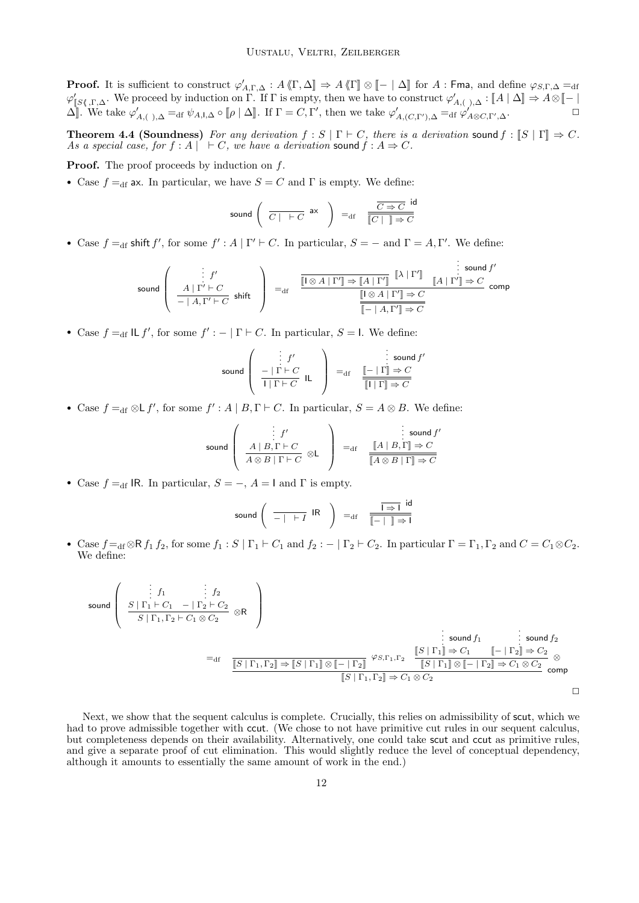**Proof.** It is sufficient to construct  $\varphi'_{A,\Gamma,\Delta}: A \langle \Gamma, \Delta \rangle \Rightarrow A \langle \Gamma \rangle \otimes [-\Delta]$  for A : Fma, and define  $\varphi_{S,\Gamma,\Delta} =_{\text{dd}}$  $\varphi'_{\llbracket S(\cdot,\Gamma,\Delta)$ . We proceed by induction on  $\Gamma$ . If  $\Gamma$  is empty, then we have to construct  $\varphi'_{A,(\cdot),\Delta}: \llbracket A \mid \Delta \rrbracket \Rightarrow A \otimes \llbracket - \rrbracket$  $\Delta \llbracket \cdot \text{We take } \varphi'_{A,(\ ) ,\Delta} =_{\text{df}} \psi_{A,\mathsf{I},\Delta} \circ \llbracket \rho \mid \Delta \rrbracket. \text{ If } \Gamma = C, \Gamma', \text{ then we take } \varphi'_{A,(C,\Gamma'),\Delta} =_{\text{df}} \varphi'_{A \otimes C,\Gamma',\Delta}.$ 

<span id="page-11-0"></span>**Theorem 4.4 (Soundness)** For any derivation  $f : S | \Gamma \vdash C$ , there is a derivation sound  $f : [S | \Gamma] \Rightarrow C$ .<br>As a special case, for  $f : A | \vdash C$ , we have a derivation sound  $f : A \Rightarrow C$ .

**Proof.** The proof proceeds by induction on f.

• Case  $f = df$  ax. In particular, we have  $S = C$  and  $\Gamma$  is empty. We define:

$$
\text{sound} \left( \begin{array}{c} \overline{C \mid C} \end{array} \right) =_{\text{df}} \frac{\overline{C \Rightarrow C}}{\|C \mid \mathbb{J} \Rightarrow C}
$$

• Case  $f =_{df}$  shift f', for some  $f' : A | \Gamma' \vdash C$ . In particular,  $S = -$  and  $\Gamma = A, \Gamma'$ . We define:

$$
\text{sound} \left( \begin{array}{c} \begin{array}{c} \begin{array}{c} \vdots \\ \begin{array}{c} f' \\ - \end{array} \\ \hline \end{array} & \begin{array}{c} \end{array} \\ \begin{array}{c} \end{array} \\ \begin{array}{c} \end{array} \\ \end{array} \\ \begin{array}{c} \end{array} \\ \end{array} \\ \begin{array}{c} \end{array} \\ \end{array} \\ \end{array} \\ \end{array} \\ \end{array} \\ \end{array} \\ \begin{array}{c} \text{sum} \begin{array}{c} \begin{array}{c} \begin{array}{c} \vdots \end{array} \\ \end{array} \\ \begin{array}{c} \end{array} \\ \end{array} \\ \begin{array}{c} \end{array} \\ \end{array} \\ \begin{array}{c} \end{array} \\ \begin{array}{c} \end{array} \\ \end{array} \\ \begin{array}{c} \end{array} \\ \begin{array}{c} \end{array} \\ \end{array} \\ \end{array} \\ \begin{array}{c} \end{array} \\ \begin{array}{c} \begin{array}{c} \begin{array}{c} \vdots \end{array} \\ \begin{array}{c} \end{array} \\ \end{array} \\ \end{array} \\ \begin{array}{c} \end{array} \\ \begin{array}{c} \begin{array}{c} \vdots \end{array} \\ \begin{array}{c} \end{array} \\ \begin{array}{c} \end{array} \\ \end{array} \\ \end{array} \\ \begin{array}{c} \begin{array}{c} \begin{array}{c} \vdots \end{array} \\ \begin{array}{c} \end{array} \\ \end{array} \\ \end{array} \\ \begin{array}{c} \begin{array}{c} \begin{array}{c} \vdots \end{array} \\ \begin{array}{c} \end{array} \\ \end{array} \\ \end{array} \\ \begin{array}{c} \begin{array}{c} \vdots \end{array} \\ \begin{array}{c} \end{array} \\ \begin{array}{c} \end{array} \\ \begin{array}{c} \end{array} \\ \end{array} \\ \end{array} \\ \end{array} \\ \begin{array}{c} \begin{array}{c} \vdots \end{array} \\ \begin{array}{c} \end{array} \\ \begin{array}{c} \end{array} \\ \begin{array}{c} \end{array} \\ \begin{array}{c} \begin{array}{c} \vdots \end{array} \\ \begin{array}{c} \end{array} \\ \begin{array}{c} \
$$

• Case  $f = df \mathsf{IL} f'$ , for some  $f' : - | \Gamma \vdash C$ . In particular,  $S = I$ . We define:

$$
\text{sound} \left( \begin{array}{c} \begin{array}{c} \vdots & f' \\ - \mid \Gamma \vdash C \end{array} \\ \hline 1 \mid \Gamma \vdash C \end{array} \right) \quad \text{=}_{\text{df}} \quad \begin{array}{c} \begin{array}{c} \vdots \text{ sound } f' \\ \hline \hline \begin{array}{c} \mathbb{I} \mid \Gamma \mathbb{I} \Rightarrow C \end{array} \\ \hline \end{array} \end{array}
$$

• Case  $f =_{df} \otimes L f'$ , for some  $f' : A | B, \Gamma \vdash C$ . In particular,  $S = A \otimes B$ . We define:

$$
\text{sound} \left( \begin{array}{c} \vdots & f' \\ A \mid B, \Gamma \vdash C \\ \hline A \otimes B \mid \Gamma \vdash C \end{array} \otimes \mathbb{L} \right) \ =_{\text{df}} \quad \frac{\llbracket A \mid B, \Gamma \rrbracket \Rightarrow C}{\llbracket A \otimes B \mid \Gamma \rrbracket \Rightarrow C}
$$

• Case  $f = df$  IR. In particular,  $S = -$ ,  $A = I$  and  $\Gamma$  is empty.

$$
sound \left( \frac{}{-|+I} \text{ IR } \right) =_{df} \frac{}{\frac{}{-|+I} \text{ id}}{\sqrt{}{-|+|+I} \Rightarrow I}
$$

• Case  $f =_{df} \otimes R f_1 f_2$ , for some  $f_1 : S | \Gamma_1 \vdash C_1$  and  $f_2 : - | \Gamma_2 \vdash C_2$ . In particular  $\Gamma = \Gamma_1, \Gamma_2$  and  $C = C_1 \otimes C_2$ . We define:

$$
\begin{array}{ll}\n\text{sound} & \begin{cases}\n\vdots & f_1 & \vdots & f_2 \\
S \mid \Gamma_1 \vdash C_1 & - \mid \Gamma_2 \vdash C_2 \\
S \mid \Gamma_1, \Gamma_2 \vdash C_1 \otimes C_2\n\end{cases} \otimes R\n\end{array}
$$
\n
$$
=_{\text{df}} \quad \frac{\begin{array}{ll}\n\vdots & \text{sound } f_1 \\
\hline\nS \mid \Gamma_1, \Gamma_2 \rbrack \Rightarrow C_1 \otimes \Gamma_1 \rbrack \otimes \left[ - \mid \Gamma_2 \right] \end{array}}{\begin{array}{ll}\n\llbracket S \mid \Gamma_1 \rrbracket \otimes \left[ - \mid \Gamma_2 \right] \rbrack \Rightarrow C_1 \otimes C_2\n\end{array}} \otimes_{\text{GPI}} \frac{\begin{array}{ll}\n\llbracket S \mid \Gamma_1 \rrbracket \Rightarrow C_1 & \llbracket - \mid \Gamma_2 \rrbracket \Rightarrow C_2 \cr \hline\nS \mid \Gamma_1, \Gamma_2 \rbrack \Rightarrow C_1 \otimes C_2\n\end{array}}{\begin{array}{ll}\n\llbracket S \mid \Gamma_1 \rrbracket \otimes \left[ - \mid \Gamma_2 \right] \rbrack \Rightarrow C_1 \otimes C_2\n\end{array}} \otimes_{\text{comp}} \quad \square
$$

<span id="page-11-1"></span>Next, we show that the sequent calculus is complete. Crucially, this relies on admissibility of scut, which we had to prove admissible together with ccut. (We chose to not have primitive cut rules in our sequent calculus, but completeness depends on their availability. Alternatively, one could take scut and ccut as primitive rules, and give a separate proof of cut elimination. This would slightly reduce the level of conceptual dependency, although it amounts to essentially the same amount of work in the end.)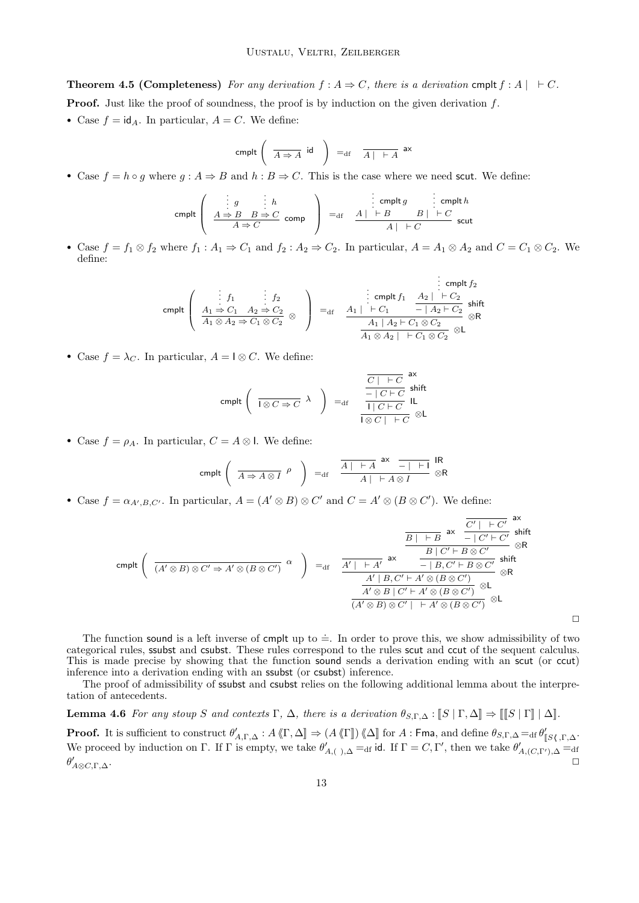**Theorem 4.5 (Completeness)** For any derivation  $f : A \Rightarrow C$ , there is a derivation cmplt  $f : A \mid \vdash C$ .

**Proof.** Just like the proof of soundness, the proof is by induction on the given derivation  $f$ .

• Case  $f = id_A$ . In particular,  $A = C$ . We define:

$$
\mathsf{cmplt}\left(\begin{array}{c}\overline{A \Rightarrow A} \text{ id}\end{array}\right) =_{\text{df}} \overline{A \mid \text{ }\vdash A} \text{ ax}
$$

• Case  $f = h \circ q$  where  $q : A \Rightarrow B$  and  $h : B \Rightarrow C$ . This is the case where we need scut. We define:

$$
\mathsf{cmplt}\left(\begin{array}{c} \vdots g \\ \underline{A \Rightarrow B} \ \underline{B \Rightarrow C} \\ \underline{A \Rightarrow C} \end{array} \mathsf{comp}\right) \ =_{\mathsf{df}} \quad \begin{array}{c} \vdots \ \mathsf{cmplt}\ g \\ \underline{A \mid \ \vdash B} \ \underline{B \mid \ \vdash C} \\ \underline{A \mid \ \vdash C} \end{array} \mathsf{scut}
$$

• Case  $f = f_1 \otimes f_2$  where  $f_1 : A_1 \Rightarrow C_1$  and  $f_2 : A_2 \Rightarrow C_2$ . In particular,  $A = A_1 \otimes A_2$  and  $C = C_1 \otimes C_2$ . We define:

.

 $-2x$ 

$$
\mathsf{cmplt}\left(\begin{array}{c} \vdots\\ \vdots\\ A_1\Rightarrow C_1\end{array}\begin{array}{c} \vdots\\ A_2\Rightarrow C_2\\ \hline A_1\otimes A_2\Rightarrow C_1\otimes C_2\end{array}\begin{array}{c} \otimes\\ \otimes\end{array}\right)\\ =_{\mathsf{df}}\begin{array}{c} \mathsf{cmplt}\,f_1\\ \mathsf{d}_1\mid\ \vdots\\ \hline \begin{array}{c}A_1\mid\ \vdots\\ A_1\mid A_2\vdash C_1\otimes C_2\\ \hline A_1\mid A_2\vdash C_1\otimes C_2\end{array}\begin{array}{c} \vdots\\ \otimes\mathsf{R}\\ \hline \begin{array}{c}A_1\mid\ \vdots\\ A_2\mid\ \vdots\\ A_1\mid\ \otimes A_2\mid\ \vdots\\ \hline \end{array}\begin{array}{c} \mathsf{cmplt}\,f_1\\ \hline \begin{array}{c}A_2\mid\ \vdots\\ A_2\mid\ \vdots\\ A_1\mid\ \otimes A_2\mid\ \vdots\\ \hline \end{array}\end{array}\begin{array}{c} \mathsf{cmplt}\,f_2\\ \hline \begin{array}{c}A_1\mid\ \vdots\\ A_2\mid\ \vdots\\ A_1\mid\ \otimes A_2\mid\ \vdots\\ \hline \end{array}\end{array}\begin{array}{c} \mathsf{cmplt}\,f_1\\ \hline \begin{array}{c}A_1\mid\ \vdots\\ A_2\mid\ \vdots\\ A_1\mid\ \ldots\\ \hline \end{array}\end{array}\begin{array}{c} \mathsf{cmplt}\,f_1\\ \hline \begin{array}{c}A_1\mid\ \vdots\\ A_2\mid\ \vdots\\ A_1\mid\ \dots\\ \hline \end{array}\end{array}\end{array}\begin{array}{c} \mathsf{cmplt}\,f_2\\ \hline \begin{array}{c}A_1\mid\ \vdots\\ A_2\mid\ \vdots\\ A_2\mid\ \vdots\\ \hline \end{array}\end{array}\end{array}\begin{array}{c} \mathsf{cmplt}\,f_2\\ \hline \begin{array}{c}A_1\mid\ \vdots\\ A_2\mid\ \vdots\\ A_2\mid\ \vdots\\ \hline \end{array}\end{array}\end{array}\begin{array}{c} \mathsf{cmplt}\,f_2\\ \hline
$$

• Case  $f = \lambda_C$ . In particular,  $A = \mathsf{I} \otimes C$ . We define:

$$
\mathsf{cmplt}\left(\begin{array}{c}\overline{C \Rightarrow C} \land \\ \overline{1 \otimes C \Rightarrow C} \end{array}\right) =_{\mathsf{df}} \quad \begin{array}{c}\n\frac{C \mid +C}{\neg C \mid C} \text{ shift} \\
\frac{1 \mid C \vdash C}{\neg C \mid C} \text{ IL} \\
\hline\n\text{IC} \mid \text{IC} \end{array}
$$

• Case  $f = \rho_A$ . In particular,  $C = A \otimes I$ . We define:

$$
\mathsf{cmplt}\left(\begin{array}{c}\overline{A \Rightarrow A \otimes I}\end{array}\rho\end{array}\right) \ =_{\mathsf{df}} \quad \frac{\overline{A \mid A} \xrightarrow{a} \frac{}{A \mid A \otimes I} \mathsf{d} \mathsf{R}}{\overline{A \mid A \otimes I}} \xrightarrow{\mathsf{d} \mathsf{R}}
$$

• Case  $f = \alpha_{A',B,C'}$ . In particular,  $A = (A' \otimes B) \otimes C'$  and  $C = A' \otimes (B \otimes C')$ . We define:

$$
\text{cmplt}\left(\begin{array}{c}\n\overline{G' \mid +C'} & \text{ax} \\
\overline{A' \otimes B} & \text{a} \\
\hline\n\end{array}\right) =_{\text{df}} \quad\n\frac{\overline{B \mid +B}}{\overline{A' \mid +A'}} & \text{ax} \quad \frac{\overline{C' \mid +C'}}{\overline{B \mid C' \mid B \otimes C'}} & \text{shift} \\
\text{cmplt}\left(\begin{array}{c}\n\overline{(A' \otimes B) \otimes C' \Rightarrow A' \otimes (B \otimes C')}} & \text{a} \\
\hline\n\overline{A' \mid B, C' \mid A' \otimes (B \otimes C')}} & \text{shift} \\
\overline{A' \otimes B \mid C' \mid A' \otimes (B \otimes C')} & \text{shift} \\
\overline{(A' \otimes B) \otimes C' \mid +A' \otimes (B \otimes C')} & \text{shift}\n\end{array}\right)
$$

The function sound is a left inverse of cmplt up to  $\doteq$ . In order to prove this, we show admissibility of two categorical rules, ssubst and csubst. These rules correspond to the rules scut and ccut of the sequent calculus. This is made precise by showing that the function sound sends a derivation ending with an scut (or ccut) inference into a derivation ending with an ssubst (or csubst) inference.

The proof of admissibility of ssubst and csubst relies on the following additional lemma about the interpretation of antecedents.

**Lemma 4.6** For any stoup S and contexts  $\Gamma$ ,  $\Delta$ , there is a derivation  $\theta_{S,\Gamma,\Delta} : \llbracket S \mid \Gamma, \Delta \rrbracket \Rightarrow \llbracket \llbracket S \mid \Gamma \rrbracket \mid \Delta \rrbracket$ .

**Proof.** It is sufficient to construct  $\theta'_{A,\Gamma,\Delta} : A \langle \Gamma, \Delta \rangle \Rightarrow (A \langle \Gamma \rangle) \langle \Delta \rangle$  for  $A : F$ ma, and define  $\theta_{S,\Gamma,\Delta} =_{df} \theta'_{[S(\Gamma),\Delta]}$ .<br>We proceed by induction on  $\Gamma$ . If  $\Gamma$  is empty, we take  $\theta'_{A,(\Gamma),\Delta} =_{df}$  id. If  $\Gamma$  $\theta'$  $A \otimes C, \Gamma, \Delta$ .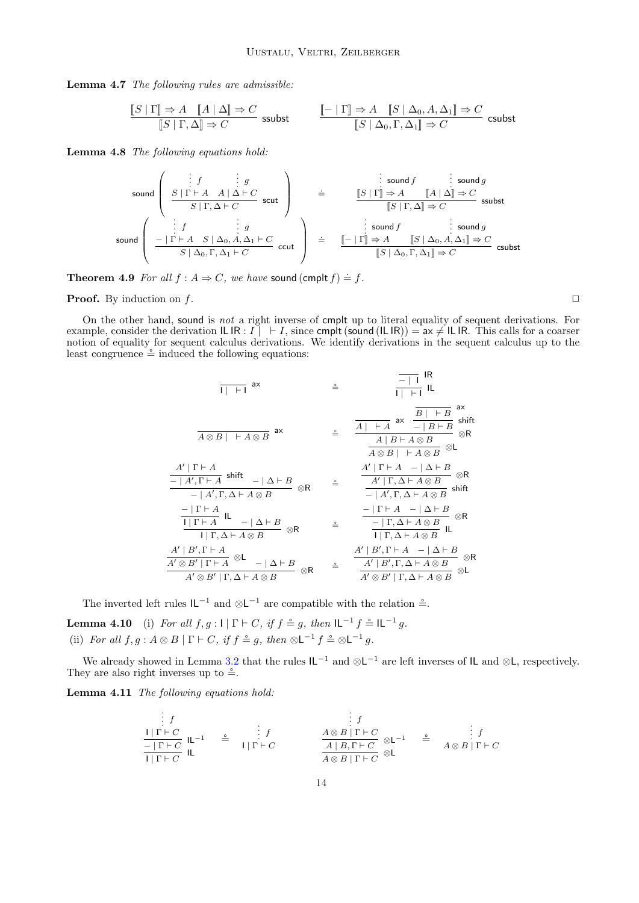Lemma 4.7 The following rules are admissible:

$$
\frac{\llbracket S \mid \Gamma \rrbracket \Rightarrow A \quad \llbracket A \mid \Delta \rrbracket \Rightarrow C}{\llbracket S \mid \Gamma, \Delta \rrbracket \Rightarrow C} \text{ssubst} \qquad \frac{\llbracket - \mid \Gamma \rrbracket \Rightarrow A \quad \llbracket S \mid \Delta_0, A, \Delta_1 \rrbracket \Rightarrow C}{\llbracket S \mid \Delta_0, \Gamma, \Delta_1 \rrbracket \Rightarrow C} \text{csubst}
$$

Lemma 4.8 The following equations hold:

$$
\text{sound} \left( \begin{array}{ccc} \begin{array}{c} \vdots & f & \vdots & g \\ S \mid \Gamma \vdash A & A \mid \Delta \vdash C \\ \hline S \mid \Gamma, \Delta \vdash C \end{array} \\ \text{sound} \end{array} \right) \qquad \doteq \qquad \begin{array}{c} \begin{array}{c} \vdots & \text{sound } f \\ \hline \begin{array}{c} S \mid \Gamma \mid \Delta \end{array} \Rightarrow C \\ \hline \begin{array}{c} S \mid \Gamma, \Delta \vdash C \end{array} \\ \text{sound } f \end{array} \\ \text{sound } \left( \begin{array}{c} \begin{array}{c} \vdots & f & \vdots & g \\ - \mid \Gamma \vdash A & S \mid \Delta_0, A, \Delta_1 \vdash C \\ \hline S \mid \Delta_0, \Gamma, \Delta_1 \vdash C \end{array} \right) \qquad \doteq \qquad \begin{array}{c} \begin{array}{c} \text{is } \text{ound } f & \vdots \text{ is } \text{ound } g \\ \hline \begin{array}{c} \text{is } \text{ound } f & \vdots \text{ is } \text{ound } g \\ \hline \begin{array}{c} \text{is } \text{ound } f & \vdots \text{ is } \text{ound } g \\ \hline \end{array} \\ \text{sound } g & \text{is } \text{bound } g \end{array} \\ \end{array} \\ \text{sound } \left( \begin{array}{c} \begin{array}{c} \text{is } \text{mod } f & \text{is } \text{round } g \\ \hline \end{array} \right) \qquad \begin{array}{c} \text{is } \text{mod } f & \text{is } \text{round } g \\ \hline \begin{array}{c} \text{is } \text{round } f & \text{is } \text{round } g \\ \hline \end{array} \\ \text{count } \left( \begin{array}{c} \text{is } \text{mod } f & \text{is } \text{round } g \\ \hline \end{array} \right) \qquad \begin{array}{c} \text{is } \text{mod } f & \text{is } \text{round } g \\ \hline \end{array} \\ \text{count } \left( \begin{array}{c} \text{is } \text{mod } g & \text{is } \text{mod } g \\ \hline \end{array} \right) \qquad \begin{array}{c} \text{is } \text{mod } f & \text{is } \text{mod } g \\ \
$$

<span id="page-13-0"></span>**Theorem 4.9** For all  $f : A \Rightarrow C$ , we have sound  $(\text{cmplt } f) \doteq f$ .

**Proof.** By induction on f.  $\Box$ 

On the other hand, sound is not a right inverse of cmplt up to literal equality of sequent derivations. For example, consider the derivation  $|L \, R : I \, | \, | + I$ , since cmplt (sound (IL IR)) = ax  $\neq$  IL IR. This calls for a coarser notion of equality for sequent calculus derivations. We identify derivations in the sequent calculus up to the least congruence  $\stackrel{\sim}{=}$  induced the following equations:

| $I \rvert H$                                                                                                           | $ax$                                                                                                                                  | $\frac{1}{ I  + 1}$ | $IR$ |
|------------------------------------------------------------------------------------------------------------------------|---------------------------------------------------------------------------------------------------------------------------------------|---------------------|------|
| $\overline{A \otimes B \rvert + A \otimes B}$ $\overline{a} \times \overline{b}$                                       | $\frac{1}{ I  + 1}$                                                                                                                   | $IL$                |      |
| $\overline{A \otimes B \rvert + A \otimes B}$ $\overline{a} \times \overline{b}$                                       | $\frac{1}{ I  + A} \cdot \overline{a} \times \overline{a} \xrightarrow{B \rvert + B} \overline{b}$ $\overline{a} \times \overline{b}$ |                     |      |
| $\frac{A' \rvert \Gamma \vdash A}{- A', \Gamma \vdash A} \sin \overline{t} \quad - \Delta \vdash B \quad \overline{b}$ | $\frac{A' \rvert \Gamma \vdash A - \Delta \vdash B}{- A', \Gamma \vdash A \otimes B} \otimes R$                                       |                     |      |
| $\frac{- I \vdash A }{ I \vdash A } \cdot \overline{I} \quad \overline{A} \otimes \overline{B}$                        | $\frac{A' \rvert \Gamma \vdash A - \Delta \vdash B}{- A', \Gamma \vdash A \otimes B} \sin \overline{t} \quad \overline{b}$            |                     |      |
| $\frac{- I \vdash A }{ I \vdash A } \cdot \overline{A} \quad \overline{a} \otimes R$                                   | $\frac{- I \vdash A - \Delta \vdash B }{- I \vdash A \otimes B } \otimes R$                                                           |                     |      |
| $\frac{A' \rvert B', \Gamma \vdash A}{ I \vdash A \otimes B'  \Gamma \vdash A} \otimes L$                              | $\frac{A' \rvert B', \Gamma \vdash A - \Delta \vdash B}{- I \vdash A \otimes B } \otimes R$                                           |                     |      |
| $\frac{A' \rvert B', \Gamma \vdash A}{A' \otimes B' \rvert \Gamma \vdash A} \otimes L$                                 |                                                                                                                                       |                     |      |

The inverted left rules  $|L^{-1}$  and  $\otimes L^{-1}$  are compatible with the relation  $\stackrel{\circ}{=}$ .

<span id="page-13-1"></span>**Lemma 4.10** (i) For all  $f, g : \mathsf{I} \upharpoonright \Gamma \vdash C$ , if  $f \triangleq g$ , then  $\mathsf{I} \mathsf{L}^{-1} f \triangleq \mathsf{I} \mathsf{L}^{-1} g$ . (ii) For all  $f, g : A \otimes B \mid \Gamma \vdash C$ , if  $f \triangleq g$ , then  $\otimes \mathsf{L}^{-1} f \triangleq \otimes \mathsf{L}^{-1} g$ .

We already showed in Lemma [3.2](#page-6-0) that the rules  $|L^{-1}$  and  $\otimes L^{-1}$  are left inverses of  $|L|$  and  $\otimes L$ , respectively. They are also right inverses up to  $\stackrel{\circ}{=}$ .

Lemma 4.11 The following equations hold:

$$
\begin{array}{cccc}\n\vdots & f & \qquad \vdots & f \\
\frac{1|\Gamma \vdash C}{-|\Gamma \vdash C|} & \mathbb{L}^{-1} & \stackrel{\circ}{=} & \mathbb{I} & \mathbb{I} & \mathbb{I} & \mathbb{I} & \mathbb{I} \\
\frac{-|\Gamma \vdash C}{1|\Gamma \vdash C|} & \mathbb{L} & & \mathbb{I} & \mathbb{I} & \mathbb{I} & \mathbb{I} & \mathbb{I} & \mathbb{I} & \mathbb{I} \\
\frac{1}{\mathbb{I} & \mathbb{I} & \mathbb{I} & & \mathbb{I} & \mathbb{I} & \mathbb{I} & \mathbb{I} & \mathbb{I} & \mathbb{I} \\
\frac{1}{\mathbb{I} & \mathbb{I} & \mathbb{I} & & \mathbb{I} & & \mathbb{I} & \mathbb{I} & \mathbb{I} & \mathbb{I} & \mathbb{I} & \mathbb{I} \\
\frac{1}{\mathbb{I} & \mathbb{I} & \mathbb{I} & & \mathbb{I} & & \mathbb{I} & \mathbb{I} & \mathbb{I} & \mathbb{I} & \mathbb{I} & \mathbb{I} & \mathbb{I} & \mathbb{I} \\
\frac{1}{\mathbb{I} & \mathbb{I} & \mathbb{I} & & \mathbb{I} & & \mathbb{I} & \mathbb{I} & \mathbb{I} & \mathbb{I} & \mathbb{I} & \mathbb{I} & \mathbb{I} & \mathbb{I} & \mathbb{I} & \mathbb{I} \\
\frac{1}{\mathbb{I} & \mathbb{I} & \mathbb{I} & & \mathbb{I} & & \mathbb{I} & & \mathbb{I} & \mathbb{I} & \mathbb{I} & \mathbb{I} & \mathbb{I} & \mathbb{I} & \mathbb{I} & \mathbb{I} & \mathbb{I} & \mathbb{I} & \mathbb{I} & \mathbb{I} & \mathbb{I} \\
\frac{1}{\mathbb{I} & \mathbb{I} & \mathbb{I} & & \mathbb{I} & & \mathbb{I} & & \mathbb{I} & \mathbb{I} & \mathbb{I} & \mathbb{I} & \mathbb{I} & \mathbb{I} & \mathbb{I} & \mathbb{I} & \mathbb{I} & \mathbb{
$$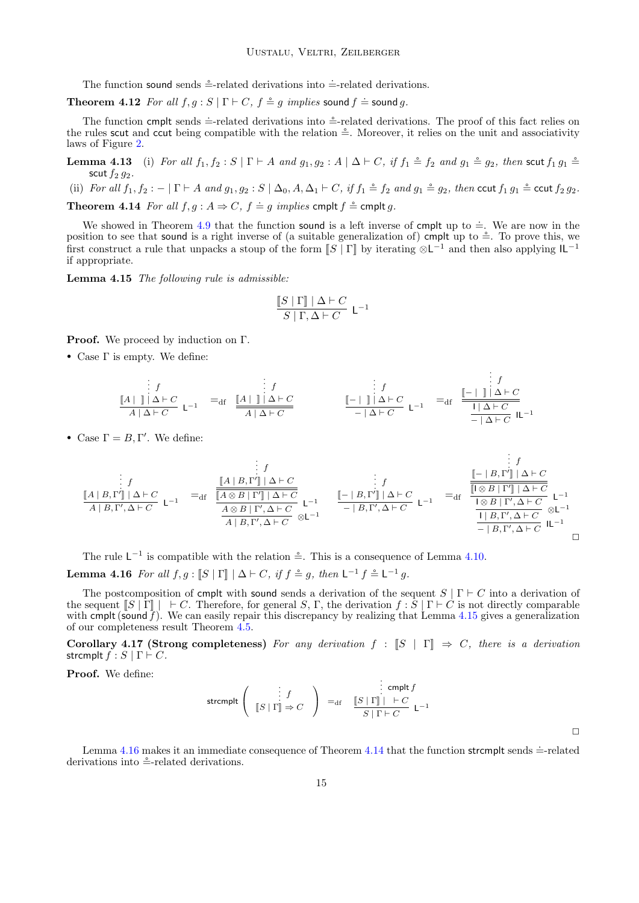The function sound sends  $\triangleq$ -related derivations into  $\triangleq$ -related derivations.

<span id="page-14-3"></span>Theorem 4.12 For all  $f, g : S \mid \Gamma \vdash C, f \circeq g$  implies sound  $f \doteq$  sound  $g$ .

The function cmplt sends  $\doteq$ -related derivations into  $\doteq$ -related derivations. The proof of this fact relies on the rules scut and ccut being compatible with the relation  $\triangle$ . Moreover, it relies on the unit and associativity laws of Figure [2.](#page-10-0)

**Lemma 4.13** (i) For all  $f_1, f_2 : S \mid \Gamma \vdash A$  and  $g_1, g_2 : A \mid \Delta \vdash C$ , if  $f_1 \triangleq f_2$  and  $g_1 \triangleq g_2$ , then scut  $f_1 g_1 \triangleq f_2$ scut  $f_2 g_2$ .

(ii) For all  $f_1, f_2 := |\Gamma \vdash A$  and  $g_1, g_2 : S \vdash \Delta_0, A, \Delta_1 \vdash C$ , if  $f_1 \triangleq f_2$  and  $g_1 \triangleq g_2$ , then ccut  $f_1 g_1 \triangleq$  ccut  $f_2 g_2$ .

<span id="page-14-0"></span>**Theorem 4.14** For all  $f, g : A \Rightarrow C, f \doteq g$  implies cmplt  $f \triangleq$  cmplt  $g$ .

We showed in Theorem [4.9](#page-13-0) that the function sound is a left inverse of cmplt up to  $\dot{=}$ . We are now in the position to see that sound is a right inverse of (a suitable generalization of) cmplt up to  $\stackrel{\sim}{=}$ . To prove this, we first construct a rule that unpacks a stoup of the form  $[[S \mid \Gamma]]$  by iterating  $\otimes \mathsf{L}^{-1}$  and then also applying  $\mathsf{IL}^{-1}$ <br>if appropriate if appropriate.

<span id="page-14-1"></span>Lemma 4.15 The following rule is admissible:

$$
\frac{\llbracket S \mid \Gamma \rrbracket \mid \Delta \vdash C}{S \mid \Gamma, \Delta \vdash C} \mathsf{L}^{-1}
$$

Proof. We proceed by induction on Γ.

• Case  $\Gamma$  is empty. We define:

$$
\begin{array}{c}\n\vdots f \\
\underline{[A \mid \; ] \mid \Delta \vdash C} \\
\underline{[A \mid \; ] \mid \Delta \vdash C} \\
\underline{[A \mid \; ] \mid \Delta \vdash C} \\
\underline{[A \mid \; ] \mid \Delta \vdash C} \\
\underline{[A \mid \; ] \mid \Delta \vdash C} \\
\underline{[A \mid \; ] \mid \Delta \vdash C} \\
\underline{[A \mid \; ] \mid \Delta \vdash C} \\
\underline{[A \mid \; ] \mid \Delta \vdash C} \\
\underline{[A \mid \; ] \mid \Delta \vdash C} \\
\underline{[A \mid \; ] \mid \Delta \vdash C} \\
\underline{[A \mid \; ] \mid \Delta \vdash C} \\
\underline{[A \mid \; ] \mid \Delta \vdash C} \\
\underline{[A \mid \; ] \mid \Delta \vdash C} \\
\underline{[A \mid \; ] \mid \Delta \vdash C} \\
\underline{[A \mid \; ] \mid \Delta \vdash C} \\
\underline{[A \mid \; ] \mid \Delta \vdash C} \\
\underline{[A \mid \; ] \mid \Delta \vdash C} \\
\underline{[A \mid \; ] \mid \Delta \vdash C} \\
\underline{[A \mid \; ] \mid \Delta \vdash C} \\
\underline{[A \mid \; ] \mid \Delta \vdash C} \\
\underline{[A \mid \; ] \mid \Delta \vdash C} \\
\underline{[A \mid \; ] \mid \Delta \vdash C} \\
\underline{[A \mid \; ] \mid \Delta \vdash C} \\
\underline{[A \mid \; ] \mid \Delta \vdash C} \\
\underline{[A \mid \; ] \mid \Delta \vdash C} \\
\underline{[A \mid \; ] \mid \Delta \vdash C} \\
\underline{[A \mid \; ] \mid \Delta \vdash C} \\
\underline{[A \mid \; ] \mid \Delta \vdash C} \\
\underline{[A \mid \; ] \mid \Delta \vdash C} \\
\underline{[A \mid \; ] \mid \Delta \vdash C} \\
\underline{[A \mid \; ] \mid \Delta \vdash C} \\
\underline{[A \mid \; ] \mid \Delta \vdash C} \\
\underline{[A \mid \; ] \mid \Delta \vdash C} \\
\underline{[A \mid \; ] \mid \Delta \vdash C} \\
\underline{[A \mid \; ] \mid \Delta \vdash C} \\
\underline{[A \mid \; ] \
$$

• Case  $\Gamma = B, \Gamma'$ . We define:

. . . . f <sup>J</sup><sup>A</sup> <sup>|</sup> B, <sup>Γ</sup> 0 <sup>K</sup> <sup>|</sup> <sup>∆</sup> ` <sup>C</sup> A | B, Γ 0 , ∆ ` C L−<sup>1</sup> =df . . . . f <sup>J</sup><sup>A</sup> <sup>|</sup> B, <sup>Γ</sup> 0 <sup>K</sup> <sup>|</sup> <sup>∆</sup> ` <sup>C</sup> <sup>J</sup><sup>A</sup> <sup>⊗</sup> <sup>B</sup> <sup>|</sup> <sup>Γ</sup> 0 <sup>K</sup> <sup>|</sup> <sup>∆</sup> ` <sup>C</sup> A ⊗ B | Γ 0 , ∆ ` C L−<sup>1</sup> A | B, Γ 0 , ∆ ` C ⊗L−<sup>1</sup> . . . . f <sup>J</sup>− | B, <sup>Γ</sup> 0 <sup>K</sup> <sup>|</sup> <sup>∆</sup> ` <sup>C</sup> − | B, Γ 0 , ∆ ` C L−<sup>1</sup> =df . . . . f <sup>J</sup>− | B, <sup>Γ</sup> 0 <sup>K</sup> <sup>|</sup> <sup>∆</sup> ` <sup>C</sup> <sup>J</sup><sup>I</sup> <sup>⊗</sup> <sup>B</sup> <sup>|</sup> <sup>Γ</sup> 0 <sup>K</sup> <sup>|</sup> <sup>∆</sup> ` <sup>C</sup> I ⊗ B | Γ 0 , ∆ ` C L−<sup>1</sup> I | B, Γ 0 , ∆ ` C ⊗L−<sup>1</sup> − | B, Γ 0 , ∆ ` C IL−<sup>1</sup> ✷

The rule  $L^{-1}$  is compatible with the relation  $\stackrel{\circ}{=}$ . This is a consequence of Lemma [4.10.](#page-13-1)

<span id="page-14-2"></span>**Lemma 4.16** For all  $f, g : \llbracket S \mid \Gamma \rrbracket \mid \Delta \vdash C$ , if  $f \triangleq g$ , then  $\mathsf{L}^{-1} f \triangleq \mathsf{L}^{-1} g$ .

The postcomposition of cmplt with sound sends a derivation of the sequent  $S \mid \Gamma \vdash C$  into a derivation of the sequent  $\llbracket S \mid \Gamma \rrbracket \mid +C$ . Therefore, for general S,  $\Gamma$ , the derivation  $f : S \mid \Gamma \vdash C$  is not directly comparable with cmplt (sound  $\vec{f}$ ). We can easily repair this discrepancy by realizing that Lemma [4.15](#page-14-1) gives a generalization of our completeness result Theorem [4.5.](#page-11-1)

Corollary 4.17 (Strong completeness) For any derivation  $f : \llbracket S \mid \Gamma \rrbracket \Rightarrow C$ , there is a derivation strcmplt  $\check{f}$  :  $S$  |  $\Gamma \vdash C$ .

.

 $\Box$ 

Proof. We define:

$$
\text{stremplt}\left(\begin{array}{c} \vdots & f \\ \llbracket S \mid \Gamma \rrbracket \Rightarrow C \end{array}\right) \ =_{\text{df}} \quad \frac{\llbracket S \mid \Gamma \rrbracket \mid \ + \ C}{S \mid \Gamma \vdash C} \ \mathsf{L}^{-1}
$$

Lemma [4.16](#page-14-2) makes it an immediate consequence of Theorem [4.14](#page-14-0) that the function stremplt sends  $\doteq$ -related derivations into  $\triangleq$ -related derivations.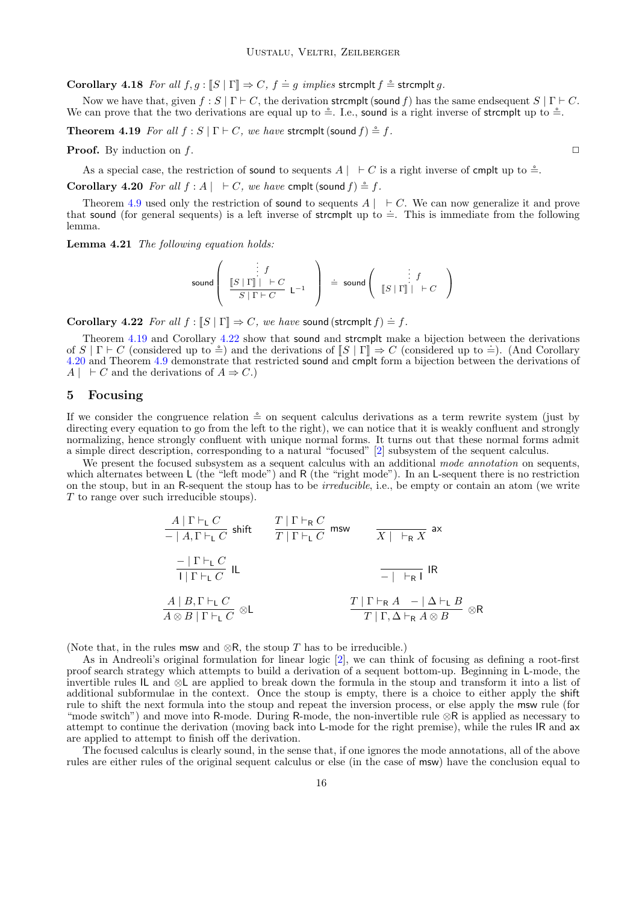Corollary 4.18 For all  $f, g : \llbracket S \mid \Gamma \rrbracket \Rightarrow C, f \doteq g$  implies stremplt  $f \triangleq$  stremplt  $g$ .

Now we have that, given  $f : S | \Gamma \vdash C$ , the derivation stromplt (sound f) has the same endsequent  $S | \Gamma \vdash C$ . We can prove that the two derivations are equal up to  $\cong$ . I.e., sound is a right inverse of strcmplt up to  $\cong$ .

<span id="page-15-1"></span>**Theorem 4.19** For all  $f : S | \Gamma \vdash C$ , we have strompt (sound  $f) \triangleq f$ .

**Proof.** By induction on f.  $\Box$ 

As a special case, the restriction of sound to sequents  $A \mid C$  is a right inverse of cmplt up to  $\triangleq$ .

<span id="page-15-3"></span>Corollary 4.20 For all  $f : A \mid \neg C$ , we have cmplt (sound  $f$ )  $\triangleq f$ .

Theorem [4.9](#page-13-0) used only the restriction of sound to sequents  $A \mid C$ . We can now generalize it and prove that sound (for general sequents) is a left inverse of strample up to  $\dot{=}$ . This is immediate from the following lemma.

Lemma 4.21 The following equation holds:

$$
\text{sound} \left( \begin{array}{c} \begin{array}{c} \vdots & f \\ \begin{array}{c} \text{[}S \mid \Gamma \rrbracket \end{array} \end{array} \right) \\ \begin{array}{c} \begin{array}{c} \text{[}S \mid \Gamma \rrbracket \end{array} \end{array} \right) \begin{array}{c} \vdots & \begin{array}{c} \text{[}S \mid \Gamma \rrbracket \end{array} \end{array} \end{array} \right) \begin{array}{c} \begin{array}{c} \vdots & f \\ \begin{array}{c} \text{[}S \mid \Gamma \rrbracket \end{array} \end{array} \end{array} \right)
$$

<span id="page-15-2"></span>Corollary 4.22 For all  $f : \llbracket S \mid \Gamma \rrbracket \Rightarrow C$ , we have sound  $(\text{strength } f) = f$ .

Theorem [4.19](#page-15-1) and Corollary [4.22](#page-15-2) show that sound and strcmplt make a bijection between the derivations of  $S \mid \Gamma \vdash C$  (considered up to  $\stackrel{\simeq}{=}$ ) and the derivations of  $\llbracket S \mid \Gamma \rrbracket \Rightarrow C$  (considered up to  $\stackrel{\simeq}{=}$ ). (And Corollary [4.20](#page-15-3) and Theorem [4.9](#page-13-0) demonstrate that restricted sound and cmplt form a bijection between the derivations of  $A \perp C$  and the derivations of  $A \Rightarrow C$ .)

#### <span id="page-15-0"></span>5 Focusing

If we consider the congruence relation  $\stackrel{\circ}{=}$  on sequent calculus derivations as a term rewrite system (just by directing every equation to go from the left to the right), we can notice that it is weakly confluent and strongly normalizing, hence strongly confluent with unique normal forms. It turns out that these normal forms admit a simple direct description, corresponding to a natural "focused" [\[2\]](#page-17-13) subsystem of the sequent calculus.

We present the focused subsystem as a sequent calculus with an additional mode annotation on sequents, which alternates between L (the "left mode") and R (the "right mode"). In an L-sequent there is no restriction on the stoup, but in an R-sequent the stoup has to be irreducible, i.e., be empty or contain an atom (we write T to range over such irreducible stoups).

$$
\frac{A \mid \Gamma \vdash_{\mathsf{L}} C}{- \mid A, \Gamma \vdash_{\mathsf{L}} C} \text{ shift} \qquad \frac{T \mid \Gamma \vdash_{\mathsf{R}} C}{T \mid \Gamma \vdash_{\mathsf{L}} C} \text{ msw} \qquad \frac{}{\overline{X} \mid \vdash_{\mathsf{R}} X} \text{ ax}
$$
\n
$$
\frac{- \mid \Gamma \vdash_{\mathsf{L}} C}{1 \mid \Gamma \vdash_{\mathsf{L}} C} \text{ IL} \qquad \frac{}{\overline{I} \mid \Gamma \vdash_{\mathsf{R}} A \qquad - \mid \Delta \vdash_{\mathsf{L}} B}{\frac{A \mid B, \Gamma \vdash_{\mathsf{L}} C}{A \otimes B \mid \Gamma \vdash_{\mathsf{L}} C} \otimes \mathsf{L} \qquad \frac{T \mid \Gamma \vdash_{\mathsf{R}} A \qquad - \mid \Delta \vdash_{\mathsf{L}} B}{T \mid \Gamma, \Delta \vdash_{\mathsf{R}} A \otimes B} \otimes R}
$$

(Note that, in the rules msw and  $\otimes$ R, the stoup T has to be irreducible.)

As in Andreoli's original formulation for linear logic [\[2\]](#page-17-13), we can think of focusing as defining a root-first proof search strategy which attempts to build a derivation of a sequent bottom-up. Beginning in L-mode, the invertible rules IL and ⊗L are applied to break down the formula in the stoup and transform it into a list of additional subformulae in the context. Once the stoup is empty, there is a choice to either apply the shift rule to shift the next formula into the stoup and repeat the inversion process, or else apply the msw rule (for "mode switch") and move into R-mode. During R-mode, the non-invertible rule ⊗R is applied as necessary to attempt to continue the derivation (moving back into L-mode for the right premise), while the rules IR and ax are applied to attempt to finish off the derivation.

The focused calculus is clearly sound, in the sense that, if one ignores the mode annotations, all of the above rules are either rules of the original sequent calculus or else (in the case of msw) have the conclusion equal to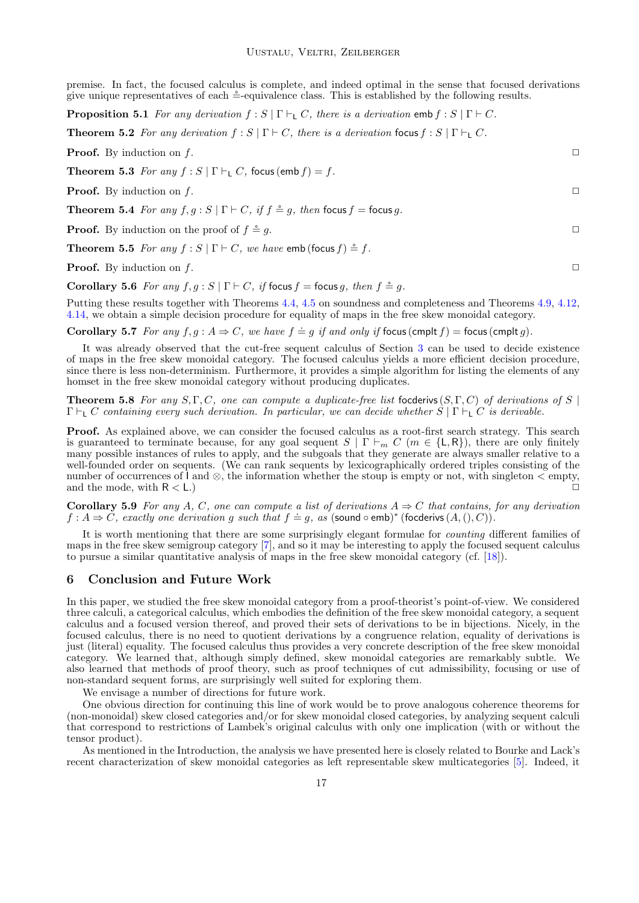premise. In fact, the focused calculus is complete, and indeed optimal in the sense that focused derivations give unique representatives of each  $\triangleq$ -equivalence class. This is established by the following results.

**Proposition 5.1** For any derivation  $f : S | \Gamma \vdash_C C$ , there is a derivation emb  $f : S | \Gamma \vdash C$ .

**Theorem 5.2** For any derivation  $f : S | \Gamma \vdash C$ , there is a derivation focus  $f : S | \Gamma \vdash_L C$ .

**Proof.** By induction on  $f$ .

**Theorem 5.3** For any  $f : S | \Gamma \vdash_L C$ , focus (emb  $f$ ) = f.

**Proof.** By induction on  $f$ .

**Theorem 5.4** For any  $f, g : S | \Gamma \vdash C$ , if  $f \triangleq g$ , then focus  $f =$  focus  $g$ .

**Proof.** By induction on the proof of  $f \triangleq q$ .

**Theorem 5.5** For any  $f : S | \Gamma \vdash C$ , we have emb (focus  $f$ )  $\triangleq f$ .

**Proof.** By induction on f.  $\Box$ 

Corollary 5.6 For any  $f, g : S | \Gamma \vdash C$ , if focus  $f =$  focus  $g$ , then  $f \triangleq g$ .

Putting these results together with Theorems [4.4,](#page-11-0) [4.5](#page-11-1) on soundness and completeness and Theorems [4.9,](#page-13-0) [4.12,](#page-14-3) [4.14,](#page-14-0) we obtain a simple decision procedure for equality of maps in the free skew monoidal category.

Corollary 5.7 For any  $f, g : A \Rightarrow C$ , we have  $f \doteq g$  if and only if focus (cmplt  $f$ ) = focus (cmplt  $g$ ).

It was already observed that the cut-free sequent calculus of Section [3](#page-3-0) can be used to decide existence of maps in the free skew monoidal category. The focused calculus yields a more efficient decision procedure, since there is less non-determinism. Furthermore, it provides a simple algorithm for listing the elements of any homset in the free skew monoidal category without producing duplicates.

**Theorem 5.8** For any S, Γ, C, one can compute a duplicate-free list focderivs  $(S, \Gamma, C)$  of derivations of S  $\Gamma \vdash_{\mathsf{L}} C$  containing every such derivation. In particular, we can decide whether  $S \mid \Gamma \vdash_{\mathsf{L}} C$  is derivable.

Proof. As explained above, we can consider the focused calculus as a root-first search strategy. This search is guaranteed to terminate because, for any goal sequent  $S \mid \Gamma \vdash_m C$  ( $m \in \{\text{L}, \text{R}\}\)$ , there are only finitely many possible instances of rules to apply, and the subgoals that they generate are always smaller relative to a well-founded order on sequents. (We can rank sequents by lexicographically ordered triples consisting of the number of occurrences of I and  $\otimes$ , the information whether the stoup is empty or not, with singleton  $\lt$  empty, and the mode, with  $R < L$ .

Corollary 5.9 For any A, C, one can compute a list of derivations  $A \Rightarrow C$  that contains, for any derivation Coronary **3.3** For any A, C, one can compute a ust of aerroutions  $A \Rightarrow C$  that contains,<br> $f : A \Rightarrow C$ , exactly one derivation g such that  $f = g$ , as (sound  $\circ$  emb)\* (focderivs  $(A,(),C)$ ).

It is worth mentioning that there are some surprisingly elegant formulae for counting different families of maps in the free skew semigroup category [\[7\]](#page-17-16), and so it may be interesting to apply the focused sequent calculus to pursue a similar quantitative analysis of maps in the free skew monoidal category (cf. [\[18\]](#page-17-11)).

#### <span id="page-16-0"></span>6 Conclusion and Future Work

In this paper, we studied the free skew monoidal category from a proof-theorist's point-of-view. We considered three calculi, a categorical calculus, which embodies the definition of the free skew monoidal category, a sequent calculus and a focused version thereof, and proved their sets of derivations to be in bijections. Nicely, in the focused calculus, there is no need to quotient derivations by a congruence relation, equality of derivations is just (literal) equality. The focused calculus thus provides a very concrete description of the free skew monoidal category. We learned that, although simply defined, skew monoidal categories are remarkably subtle. We also learned that methods of proof theory, such as proof techniques of cut admissibility, focusing or use of non-standard sequent forms, are surprisingly well suited for exploring them.

We envisage a number of directions for future work.

One obvious direction for continuing this line of work would be to prove analogous coherence theorems for (non-monoidal) skew closed categories and/or for skew monoidal closed categories, by analyzing sequent calculi that correspond to restrictions of Lambek's original calculus with only one implication (with or without the tensor product).

As mentioned in the Introduction, the analysis we have presented here is closely related to Bourke and Lack's recent characterization of skew monoidal categories as left representable skew multicategories [\[5\]](#page-17-8). Indeed, it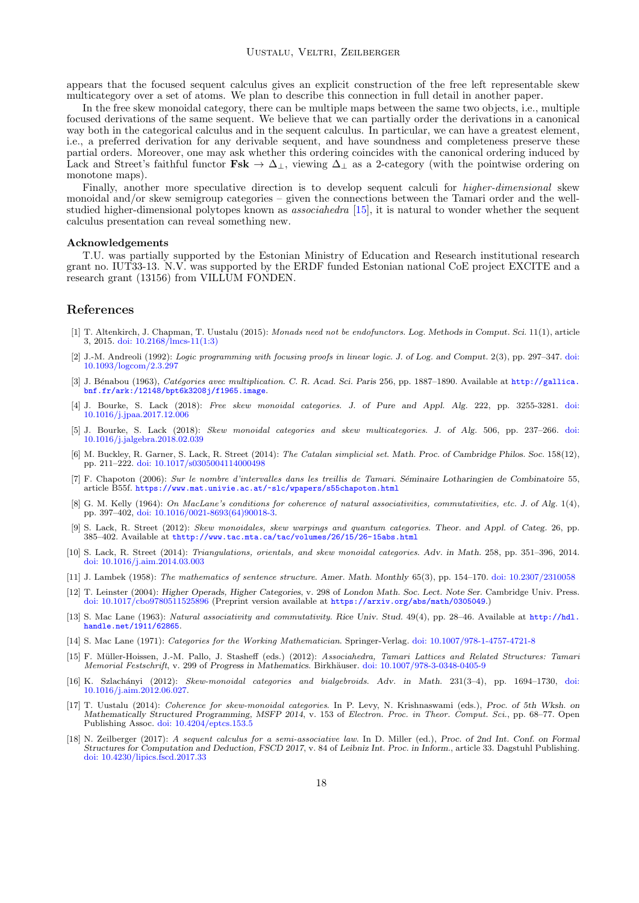appears that the focused sequent calculus gives an explicit construction of the free left representable skew multicategory over a set of atoms. We plan to describe this connection in full detail in another paper.

In the free skew monoidal category, there can be multiple maps between the same two objects, i.e., multiple focused derivations of the same sequent. We believe that we can partially order the derivations in a canonical way both in the categorical calculus and in the sequent calculus. In particular, we can have a greatest element, i.e., a preferred derivation for any derivable sequent, and have soundness and completeness preserve these partial orders. Moreover, one may ask whether this ordering coincides with the canonical ordering induced by Lack and Street's faithful functor  $\mathbf{Fsk} \to \Delta_{\perp}$ , viewing  $\Delta_{\perp}$  as a 2-category (with the pointwise ordering on monotone maps).

Finally, another more speculative direction is to develop sequent calculi for *higher-dimensional* skew monoidal and/or skew semigroup categories – given the connections between the Tamari order and the wellstudied higher-dimensional polytopes known as *associahedra* [\[15\]](#page-17-10), it is natural to wonder whether the sequent calculus presentation can reveal something new.

#### Acknowledgements

T.U. was partially supported by the Estonian Ministry of Education and Research institutional research grant no. IUT33-13. N.V. was supported by the ERDF funded Estonian national CoE project EXCITE and a research grant (13156) from VILLUM FONDEN.

### References

- <span id="page-17-3"></span>[1] T. Altenkirch, J. Chapman, T. Uustalu (2015): Monads need not be endofunctors. Log. Methods in Comput. Sci. 11(1), article 3, 2015. [doi: 10.2168/lmcs-11\(1:3\)](http://dx.doi.org/10.2168/lmcs-11(1:3))
- <span id="page-17-13"></span>[2] J.-M. Andreoli (1992): Logic programming with focusing proofs in linear logic. J. of Log. and Comput. 2(3), pp. 297–347. [doi:](http://dx.doi.org/10.1093/logcom/2.3.297) [10.1093/logcom/2.3.297](http://dx.doi.org/10.1093/logcom/2.3.297)
- <span id="page-17-2"></span>[3] J. Bénabou (1963), Catégories avec multiplication. C. R. Acad. Sci. Paris 256, pp. 1887–1890. Available at [http://gallica.](http://gallica.bnf.fr/ark:/12148/bpt6k3208j/f1965.image) [bnf.fr/ark:/12148/bpt6k3208j/f1965.image](http://gallica.bnf.fr/ark:/12148/bpt6k3208j/f1965.image).
- <span id="page-17-7"></span>[4] J. Bourke, S. Lack (2018): Free skew monoidal categories. J. of Pure and Appl. Alg. 222, pp. 3255-3281. [doi:](http://dx.doi.org/10.1016/j.jpaa.2017.12.006) [10.1016/j.jpaa.2017.12.006](http://dx.doi.org/10.1016/j.jpaa.2017.12.006)
- <span id="page-17-8"></span>[5] J. Bourke, S. Lack (2018): Skew monoidal categories and skew multicategories. J. of Alg. 506, pp. 237–266. [doi:](http://dx.doi.org/10.1016/j.jalgebra.2018.02.039) [10.1016/j.jalgebra.2018.02.039](http://dx.doi.org/10.1016/j.jalgebra.2018.02.039)
- <span id="page-17-6"></span>[6] M. Buckley, R. Garner, S. Lack, R. Street (2014): The Catalan simplicial set. Math. Proc. of Cambridge Philos. Soc. 158(12), pp. 211–222. [doi: 10.1017/s0305004114000498](http://dx.doi.org/10.1017/s0305004114000498)
- <span id="page-17-16"></span>[7] F. Chapoton (2006): Sur le nombre d'intervalles dans les treillis de Tamari. Séminaire Lotharingien de Combinatoire 55, article B55f. <https://www.mat.univie.ac.at/~slc/wpapers/s55chapoton.html>
- <span id="page-17-15"></span>[8] G. M. Kelly (1964): On MacLane's conditions for coherence of natural associativities, commutativities, etc. J. of Alg. 1(4), pp. 397–402, [doi: 10.1016/0021-8693\(64\)90018-3.](http://dx.doi.org/10.1016/0021-8693(64)90018-3)
- <span id="page-17-4"></span>[9] S. Lack, R. Street (2012): Skew monoidales, skew warpings and quantum categories. Theor. and Appl. of Categ. 26, pp. 385–402. Available at [thttp://www.tac.mta.ca/tac/volumes/26/15/26-15abs.html](t http: //www.tac.mta.ca/tac/volumes/26/15/26-15abs.html)
- <span id="page-17-5"></span>[10] S. Lack, R. Street (2014): Triangulations, orientals, and skew monoidal categories. Adv. in Math. 258, pp. 351–396, 2014. [doi: 10.1016/j.aim.2014.03.003](http://dx.doi.org/10.1016/j.aim.2014.03.003)
- <span id="page-17-12"></span>[11] J. Lambek (1958): The mathematics of sentence structure. Amer. Math. Monthly 65(3), pp. 154–170. [doi: 10.2307/2310058](http://dx.doi.org/10.2307/2310058)
- <span id="page-17-14"></span>[12] T. Leinster (2004): Higher Operads, Higher Categories, v. 298 of London Math. Soc. Lect. Note Ser. Cambridge Univ. Press. [doi: 10.1017/cbo9780511525896](http://dx.doi.org/10.1017/cbo9780511525896) (Preprint version available at <https://arxiv.org/abs/math/0305049>.)
- <span id="page-17-1"></span>[13] S. Mac Lane (1963): Natural associativity and commutativity. Rice Univ. Stud. 49(4), pp. 28–46. Available at [http://hdl.](http://hdl.handle.net/1911/62865) [handle.net/1911/62865](http://hdl.handle.net/1911/62865).
- [14] S. Mac Lane (1971): Categories for the Working Mathematician. Springer-Verlag. [doi: 10.1007/978-1-4757-4721-8](http://dx.doi.org/10.1007/978-1-4757-4721-8)
- <span id="page-17-10"></span>[15] F. M¨uller-Hoissen, J.-M. Pallo, J. Stasheff (eds.) (2012): Associahedra, Tamari Lattices and Related Structures: Tamari Memorial Festschrift, v. 299 of Progress in Mathematics. Birkhäuser. [doi: 10.1007/978-3-0348-0405-9](http://dx.doi.org/10.1007/978-3-0348-0405-9)
- <span id="page-17-0"></span>[16] K. Szlach´anyi (2012): Skew-monoidal categories and bialgebroids. Adv. in Math. 231(3–4), pp. 1694–1730, [doi:](http://dx.doi.org/10.1016/j.aim.2012.06.027) [10.1016/j.aim.2012.06.027.](http://dx.doi.org/10.1016/j.aim.2012.06.027)
- <span id="page-17-9"></span>[17] T. Uustalu (2014): Coherence for skew-monoidal categories. In P. Levy, N. Krishnaswami (eds.), Proc. of 5th Wksh. on Mathematically Structured Programming, MSFP 2014, v. 153 of Electron. Proc. in Theor. Comput. Sci., pp. 68–77. Open Publishing Assoc. [doi: 10.4204/eptcs.153.5](http://dx.doi.org/10.4204/eptcs.153.5)
- <span id="page-17-11"></span>[18] N. Zeilberger (2017): A sequent calculus for a semi-associative law. In D. Miller (ed.), Proc. of 2nd Int. Conf. on Formal Structures for Computation and Deduction, FSCD 2017, v. 84 of Leibniz Int. Proc. in Inform., article 33. Dagstuhl Publishing. [doi: 10.4230/lipics.fscd.2017.33](http://dx.doi.org/10.4230/lipics.fscd.2017.33)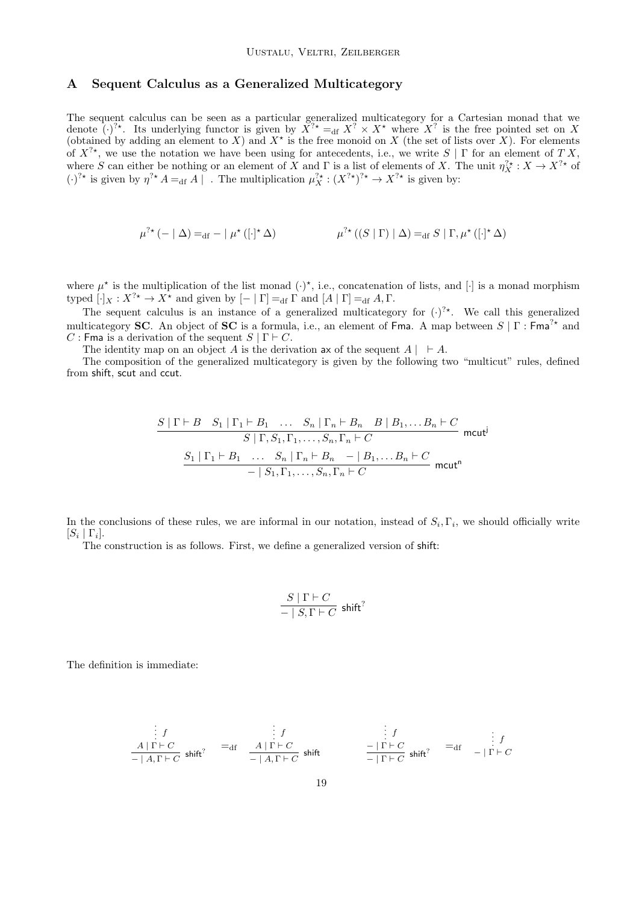### <span id="page-18-0"></span>A Sequent Calculus as a Generalized Multicategory

The sequent calculus can be seen as a particular generalized multicategory for a Cartesian monad that we denote  $(\cdot)^{?*}$ . Its underlying functor is given by  $\tilde{X}^{?*} =_{df} X^{?} \times X^{*}$  where  $X^{?}$  is the free pointed set on X (obtained by adding an element to X) and  $X^*$  is the free monoid on X (the set of lists over X). For elements of  $X^{?*}$ , we use the notation we have been using for antecedents, i.e., we write  $S \mid \Gamma$  for an element of  $TX$ , where S can either be nothing or an element of X and  $\Gamma$  is a list of elements of X. The unit  $\eta_X^{?*}: X \to X^{?*}$  of  $(\cdot)^{?*}$  is given by  $\eta^{?*} A =_{df} A \mid$ . The multiplication  $\mu_X^{?*} : (X^{?*})^{?*} \to X^{?*}$  is given by:

$$
\mu^{?*}(- \mid \Delta) =_{df} - \mid \mu^*([\cdot]^* \Delta) \qquad \mu^{?*}((S \mid \Gamma) \mid \Delta) =_{df} S \mid \Gamma, \mu^*([\cdot]^* \Delta)
$$

where  $\mu^*$  is the multiplication of the list monad  $(\cdot)^*$ , i.e., concatenation of lists, and  $[\cdot]$  is a monad morphism typed  $[\cdot]_X : X^{?*} \to X^*$  and given by  $[- | \Gamma] =_{df} \Gamma$  and  $[A | \Gamma] =_{df} A, \Gamma$ .

The sequent calculus is an instance of a generalized multicategory for  $(\cdot)^{?*}$ . We call this generalized multicategory SC. An object of SC is a formula, i.e., an element of Fma. A map between  $S | \Gamma$ : Fma<sup>?\*</sup> and C : Fma is a derivation of the sequent  $S | \Gamma \vdash C$ .

The identity map on an object A is the derivation ax of the sequent  $A \mid +A$ .

The composition of the generalized multicategory is given by the following two "multicut" rules, defined from shift, scut and ccut.

$$
\frac{S \mid \Gamma \vdash B \quad S_1 \mid \Gamma_1 \vdash B_1 \quad \dots \quad S_n \mid \Gamma_n \vdash B_n \quad B \mid B_1, \dots B_n \vdash C}{S \mid \Gamma, S_1, \Gamma_1, \dots, S_n, \Gamma_n \vdash C} \text{mcut}^{\text{j}}
$$
\n
$$
\frac{S_1 \mid \Gamma_1 \vdash B_1 \quad \dots \quad S_n \mid \Gamma_n \vdash B_n \quad - \mid B_1, \dots B_n \vdash C}{- \mid S_1, \Gamma_1, \dots, S_n, \Gamma_n \vdash C} \text{mcut}^{\text{n}}
$$

In the conclusions of these rules, we are informal in our notation, instead of  $S_i, \Gamma_i$ , we should officially write  $[S_i | \Gamma_i].$ 

The construction is as follows. First, we define a generalized version of shift:

$$
\frac{S \mid \Gamma \vdash C}{-\mid S, \Gamma \vdash C} \text{ shift}^?
$$

The definition is immediate:

$$
\begin{array}{c}\n\vdots f \\
A \mid \Gamma \vdash C \\
\hline\n- |A, \Gamma \vdash C\n\end{array}\n\begin{array}{c}\n\vdots f \\
\hline\n\text{shift}^2\n\end{array}\n\begin{array}{c}\n\vdots f \\
\hline\nA \mid \Gamma \vdash C\n\end{array}\n\text{shift}\n\begin{array}{c}\n\vdots f \\
\hline\n- | \Gamma \vdash C\n\end{array}\n\text{shift}^2\n\begin{array}{c}\n\vdots f \\
\hline\n-I \Gamma \vdash C\n\end{array}
$$